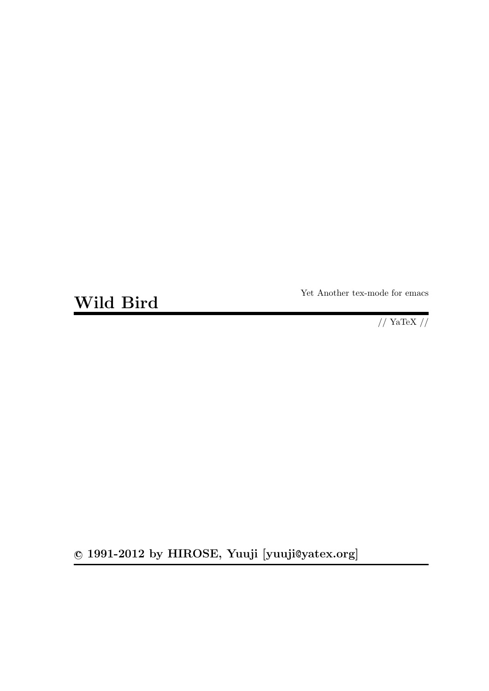**Wild Bird**

Yet Another tex-mode for emacs

 $\frac{1}{2}$  YaTeX  $\frac{1}{2}$ 

**c 1991-2012 by HIROSE, Yuuji [yuuji**@**yatex.org]**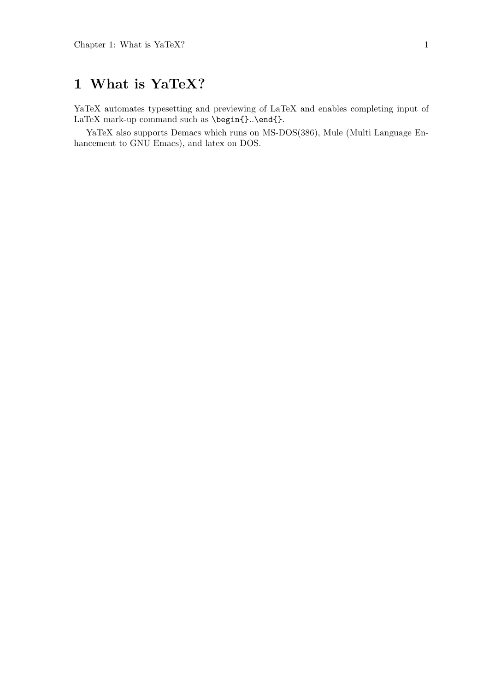# **1 What is YaTeX?**

YaTeX automates typesetting and previewing of LaTeX and enables completing input of LaTeX mark-up command such as \begin{}.\end{}.

YaTeX also supports Demacs which runs on MS-DOS(386), Mule (Multi Language Enhancement to GNU Emacs), and latex on DOS.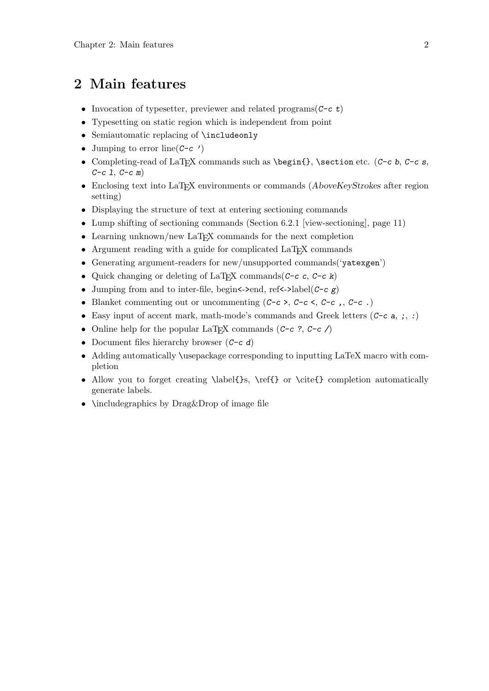# **2 Main features**

- *•* Invocation of typesetter, previewer and related programs(*C-c t*)
- *•* Typesetting on static region which is independent from point
- *•* Semiautomatic replacing of \includeonly
- *•* Jumping to error line(*C-c '*)
- *•* Completing-read of LaTEX commands such as \begin{}, \section etc. (*C-c b*, *C-c s*, *C-c l*, *C-c m*)
- Enclosing text into LaT<sub>E</sub>X environments or commands (*AboveKeyStrokes* after region setting)
- *•* Displaying the structure of text at entering sectioning commands
- Lump shifting of sectioning commands (Section 6.2.1 [view-sectioning], page 11)
- Learning unknown/new LaT<sub>EX</sub> commands for the next completion
- Argument reading with a guide for complicated LaT<sub>EX</sub> commands
- Generating argument-readers for new/unsupported commands('yatexgen')
- *•* Quick changing or deleting of LaTEX commands(*C-c c*, *C-c k*)
- *•* Jumping from and to inter-file, begin<->end, ref<->label(*C-c g*)
- *•* Blanket commenting out or uncommenting (*C-c* >, *C-c* <, *C-c ,*, *C-c .*)
- *•* Easy input of accent mark, math-mode's commands and Greek letters (*C-c a*, *;*, *:*)
- Online help for the popular LaT<sub>E</sub>X commands  $(C-c, C-c)$
- *•* Document files hierarchy browser (*C-c d*)
- Adding automatically \usepackage corresponding to inputting LaTeX macro with completion
- Allow you to forget creating \label{}s, \ref{} or \cite{} completion automatically generate labels.
- **\includegraphics by Drag&Drop of image file**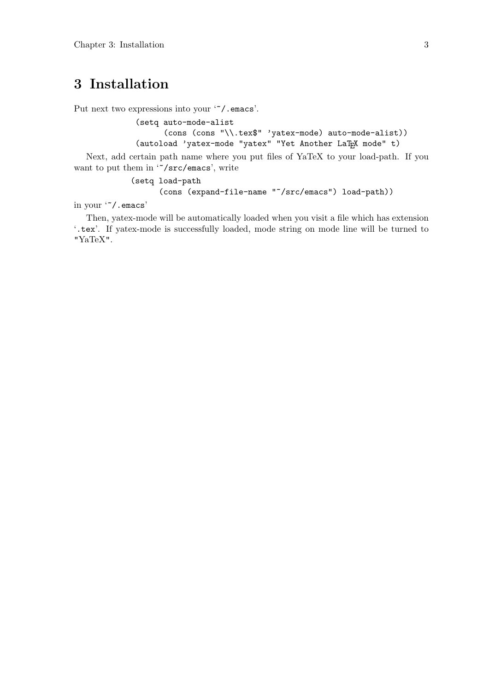# **3 Installation**

Put next two expressions into your '"/.emacs'.

(setq auto-mode-alist (cons (cons "\\.tex\$" 'yatex-mode) auto-mode-alist)) (autoload 'yatex-mode "yatex" "Yet Another LaTEX mode" t)

Next, add certain path name where you put files of YaTeX to your load-path. If you want to put them in '~/src/emacs', write

```
(setq load-path
      (cons (expand-file-name "~/src/emacs") load-path))
```
in your '~/.emacs'

Then, yatex-mode will be automatically loaded when you visit a file which has extension '.tex'. If yatex-mode is successfully loaded, mode string on mode line will be turned to "YaTeX".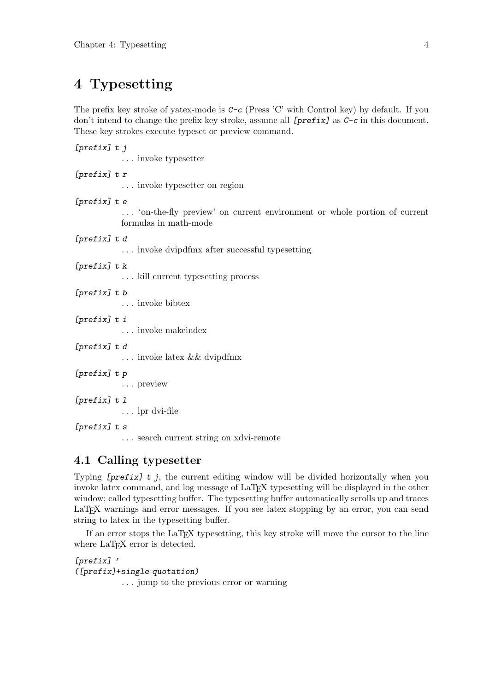# **4 Typesetting**

The prefix key stroke of yatex-mode is *C-c* (Press 'C' with Control key) by default. If you don't intend to change the prefix key stroke, assume all *[prefix]* as *C-c* in this document. These key strokes execute typeset or preview command.

| [ $prefixJ t j$ ] |  | invoke typesetter                                                                                |
|-------------------|--|--------------------------------------------------------------------------------------------------|
| [ $prefix]$ t r   |  | invoke typesetter on region                                                                      |
| [prefix] t e      |  | 'on-the-fly preview' on current environment or whole portion of current<br>formulas in math-mode |
| [prefix] t d      |  | invoke dvipdfmx after successful typesetting                                                     |
| $[prefix]$ t k    |  | $\ldots$ kill current type<br>setting process                                                    |
| $[prefix]$ t b    |  | $\ldots$ invoke bibtex                                                                           |
| [prefix] t i      |  | $\ldots$ invoke makeindex                                                                        |
| [prefix] t d      |  | $\ldots$ invoke latex && dvipdfmx                                                                |
| [prefix] t p      |  | preview                                                                                          |
| $[prefix]$ t 1    |  | $\ldots$ lpr dvi-file                                                                            |
| $[prefix]$ t s    |  | search current string on xdvi-remote                                                             |

# **4.1 Calling typesetter**

Typing *[prefix] t j*, the current editing window will be divided horizontally when you invoke latex command, and log message of LaTEX typesetting will be displayed in the other window; called typesetting buffer. The typesetting buffer automatically scrolls up and traces LaTEX warnings and error messages. If you see latex stopping by an error, you can send string to latex in the typesetting buffer.

If an error stops the LaTEX typesetting, this key stroke will move the cursor to the line where LaT<sub>E</sub>X error is detected.

*[prefix] ' ([prefix]*+*single quotation)* . . . jump to the previous error or warning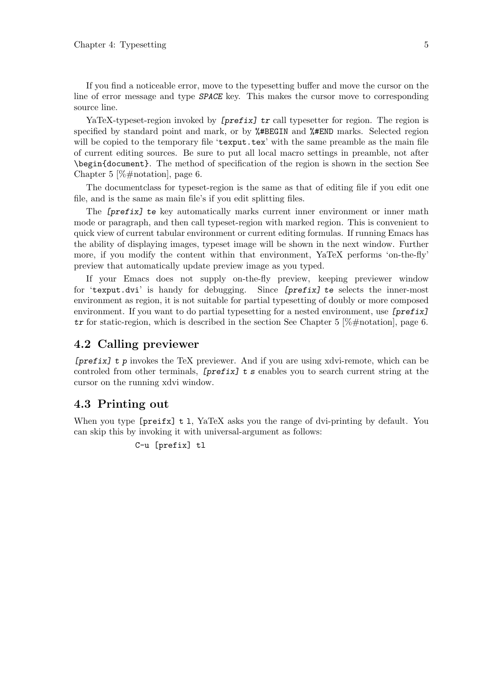If you find a noticeable error, move to the typesetting buffer and move the cursor on the line of error message and type *SPACE* key. This makes the cursor move to corresponding source line.

YaTeX-typeset-region invoked by *[prefix]* tr call typesetter for region. The region is specified by standard point and mark, or by %#BEGIN and %#END marks. Selected region will be copied to the temporary file 'texput.tex' with the same preamble as the main file of current editing sources. Be sure to put all local macro settings in preamble, not after \begin{document}. The method of specification of the region is shown in the section See Chapter 5 [%#notation], page 6.

The documentclass for typeset-region is the same as that of editing file if you edit one file, and is the same as main file's if you edit splitting files.

The *[prefix] te* key automatically marks current inner environment or inner math mode or paragraph, and then call typeset-region with marked region. This is convenient to quick view of current tabular environment or current editing formulas. If running Emacs has the ability of displaying images, typeset image will be shown in the next window. Further more, if you modify the content within that environment, YaTeX performs 'on-the-fly' preview that automatically update preview image as you typed.

If your Emacs does not supply on-the-fly preview, keeping previewer window for 'texput.dvi' is handy for debugging. Since *[prefix] te* selects the inner-most environment as region, it is not suitable for partial typesetting of doubly or more composed environment. If you want to do partial typesetting for a nested environment, use *[prefix] tr* for static-region, which is described in the section See Chapter 5 [%#notation], page 6.

## **4.2 Calling previewer**

*[prefix] t p* invokes the TeX previewer. And if you are using xdvi-remote, which can be controled from other terminals, *[prefix] t s* enables you to search current string at the cursor on the running xdvi window.

## **4.3 Printing out**

When you type  $[preifx]$  t 1, YaTeX asks you the range of dvi-printing by default. You can skip this by invoking it with universal-argument as follows:

```
C-u [prefix] tl
```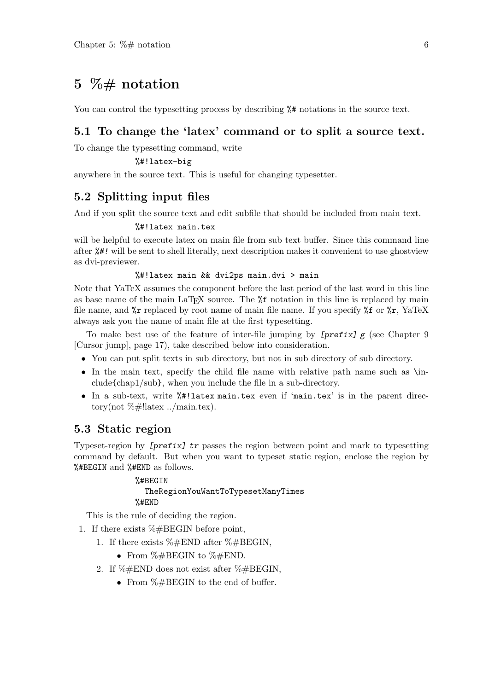# **5 %# notation**

You can control the typesetting process by describing  $\frac{1}{2}$  notations in the source text.

# **5.1 To change the 'latex' command or to split a source text.**

To change the typesetting command, write

#### %#!latex-big

anywhere in the source text. This is useful for changing typesetter.

# **5.2 Splitting input files**

And if you split the source text and edit subfile that should be included from main text.

#### %#!latex main.tex

will be helpful to execute latex on main file from sub text buffer. Since this command line after *%#!* will be sent to shell literally, next description makes it convenient to use ghostview as dvi-previewer.

#### %#!latex main && dvi2ps main.dvi > main

Note that YaTeX assumes the component before the last period of the last word in this line as base name of the main LaT<sub>EX</sub> source. The  $*$  notation in this line is replaced by main file name, and  $\chi$ r replaced by root name of main file name. If you specify  $\chi$  or  $\chi$ r, YaTeX always ask you the name of main file at the first typesetting.

To make best use of the feature of inter-file jumping by *[prefix] g* (see Chapter 9 [Cursor jump], page 17), take described below into consideration.

- You can put split texts in sub directory, but not in sub directory of sub directory.
- In the main text, specify the child file name with relative path name such as \include{chap1/sub}, when you include the file in a sub-directory.
- In a sub-text, write  $%$ #!latex main.tex even if 'main.tex' is in the parent directory(not  $\%$ #!latex ../main.tex).

## **5.3 Static region**

Typeset-region by *[prefix] tr* passes the region between point and mark to typesetting command by default. But when you want to typeset static region, enclose the region by %#BEGIN and %#END as follows.

## %#BEGIN TheRegionYouWantToTypesetManyTimes %#END

This is the rule of deciding the region.

- 1. If there exists  $\% \# \text{BEGIN}$  before point,
	- 1. If there exists  $\% \#END$  after  $\% \# BEGIN$ ,
		- From %#BEGIN to %#END.
	- 2. If %#END does not exist after %#BEGIN,
		- *•* From %#BEGIN to the end of buffer.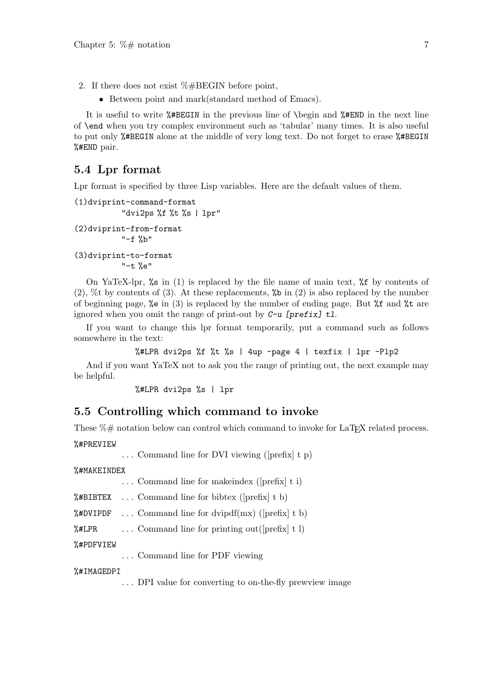- 2. If there does not exist %#BEGIN before point,
	- Between point and mark(standard method of Emacs).

It is useful to write %#BEGIN in the previous line of \begin and %#END in the next line of \end when you try complex environment such as 'tabular' many times. It is also useful to put only %#BEGIN alone at the middle of very long text. Do not forget to erase %#BEGIN %#END pair.

## **5.4 Lpr format**

Lpr format is specified by three Lisp variables. Here are the default values of them.

```
(1)dviprint-command-format
          "dvi2ps %f %t %s | lpr"
(2)dviprint-from-format
          "-f %b"(3)dviprint-to-format
          "-t %e"
```
On YaTeX-lpr,  $\%$  in (1) is replaced by the file name of main text,  $\%$  f by contents of  $(2)$ , %t by contents of  $(3)$ . At these replacements, %b in  $(2)$  is also replaced by the number of beginning page,  $\%$ e in (3) is replaced by the number of ending page. But  $\%$ f and  $\%$ t are ignored when you omit the range of print-out by *C-u [prefix] tl*.

If you want to change this lpr format temporarily, put a command such as follows somewhere in the text:

```
%#LPR dvi2ps %f %t %s | 4up -page 4 | texfix | lpr -Plp2
```
And if you want YaTeX not to ask you the range of printing out, the next example may be helpful.

%#LPR dvi2ps %s | lpr

## **5.5 Controlling which command to invoke**

These  $\%$  metation below can control which command to invoke for LaT<sub>E</sub>X related process.

%#PREVIEW

. . . Command line for DVI viewing ([prefix] t p)

%#MAKEINDEX

. . . Command line for makeindex ([prefix] t i)

%#BIBTEX ... Command line for bibtex ( $[prefix]$  t b)

**%#DVIPDF** ... Command line for dvipdf(mx) ([prefix] t b)

 $\frac{1}{2}$  ELPR ... Command line for printing out ([prefix] t 1)

%#PDFVIEW

. . . Command line for PDF viewing

%#IMAGEDPI

. . . DPI value for converting to on-the-fly prewview image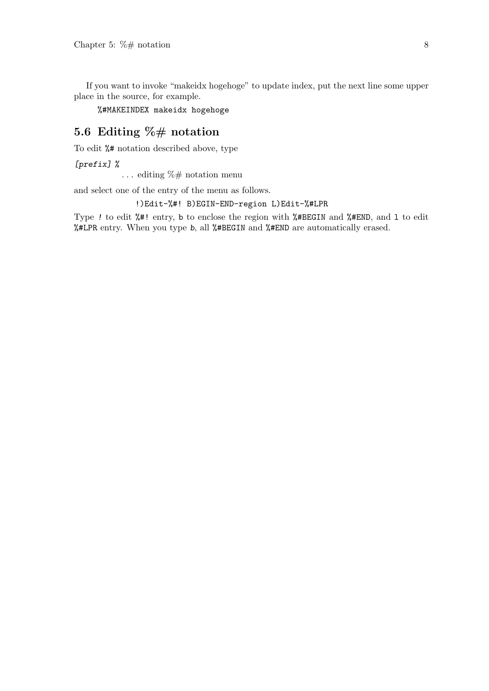If you want to invoke "makeidx hogehoge" to update index, put the next line some upper place in the source, for example.

%#MAKEINDEX makeidx hogehoge

# **5.6 Editing %# notation**

To edit %# notation described above, type

*[prefix] %*

... editing  $\% \#$  notation menu

and select one of the entry of the menu as follows.

!)Edit-%#! B)EGIN-END-region L)Edit-%#LPR

Type *!* to edit %#! entry, b to enclose the region with %#BEGIN and %#END, and l to edit %#LPR entry. When you type *b*, all %#BEGIN and %#END are automatically erased.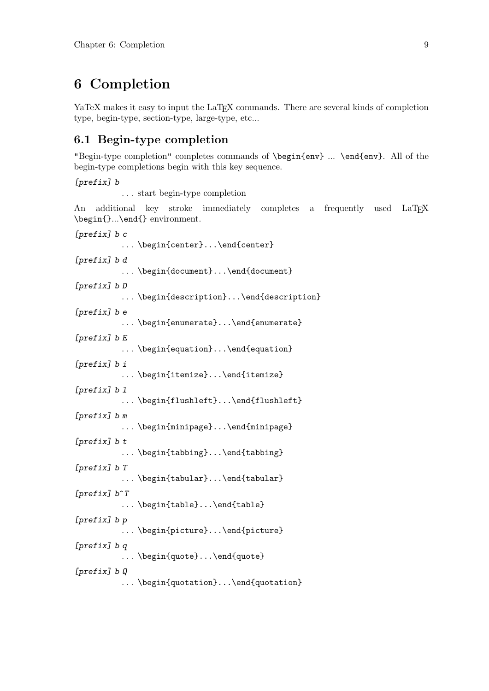# **6 Completion**

YaTeX makes it easy to input the LaT<sub>EX</sub> commands. There are several kinds of completion type, begin-type, section-type, large-type, etc...

# **6.1 Begin-type completion**

"Begin-type completion" completes commands of \begin{env} ... \end{env}. All of the begin-type completions begin with this key sequence.

```
[prefix] b
```
. . . start begin-type completion

An additional key stroke immediately completes a frequently used LaTEX \begin{}...\end{} environment.

*[prefix] b c*

... \begin{center}...\end{center}

*[prefix] b d*

... \begin{document}...\end{document}

*[prefix] b D*

. . . \begin{description}...\end{description}

*[prefix] b e*

... \begin{enumerate}...\end{enumerate}

*[prefix] b E*

... \begin{equation}...\end{equation}

*[prefix] b i*

... \begin{itemize}...\end{itemize}

*[prefix] b l*

... \begin{flushleft}...\end{flushleft}

*[prefix] b m*

. . . \begin{minipage}...\end{minipage}

*[prefix] b t*

... \begin{tabbing}...\end{tabbing}

*[prefix] b T*

... \begin{tabular}...\end{tabular}

*[prefix] b*^*T*

... \begin{table}...\end{table}

*[prefix] b p*

. . . \begin{picture}...\end{picture}

*[prefix] b q*

... \begin{quote}...\end{quote}

*[prefix] b Q*

... \begin{quotation}...\end{quotation}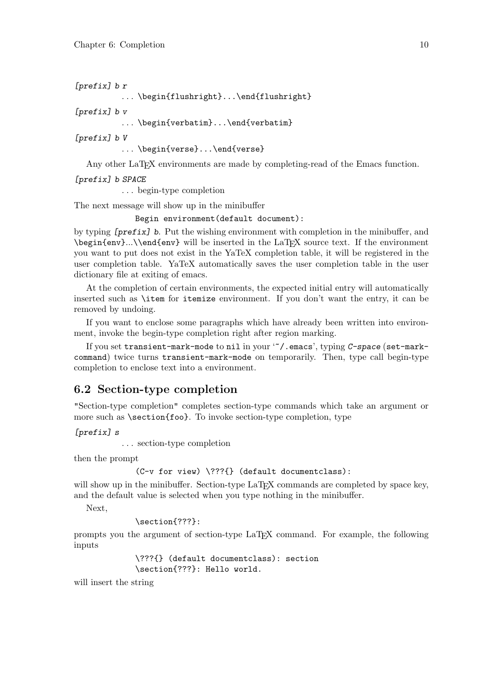```
[prefix] b r
```
... \begin{flushright}...\end{flushright}

*[prefix] b v*

... \begin{verbatim}...\end{verbatim}

*[prefix] b V*

... \begin{verse}...\end{verse}

Any other LaT<sub>EX</sub> environments are made by completing-read of the Emacs function.

#### *[prefix] b SPACE*

. . . begin-type completion

The next message will show up in the minibuffer

Begin environment(default document):

by typing *[prefix] b*. Put the wishing environment with completion in the minibuffer, and \begin{env}...\\end{env} will be inserted in the LaTEX source text. If the environment you want to put does not exist in the YaTeX completion table, it will be registered in the user completion table. YaTeX automatically saves the user completion table in the user dictionary file at exiting of emacs.

At the completion of certain environments, the expected initial entry will automatically inserted such as \item for itemize environment. If you don't want the entry, it can be removed by undoing.

If you want to enclose some paragraphs which have already been written into environment, invoke the begin-type completion right after region marking.

If you set transient-mark-mode to nil in your '~/.emacs', typing *C-space* (set-markcommand) twice turns transient-mark-mode on temporarily. Then, type call begin-type completion to enclose text into a environment.

# **6.2 Section-type completion**

"Section-type completion" completes section-type commands which take an argument or more such as \section{foo}. To invoke section-type completion, type

*[prefix] s*

. . . section-type completion

then the prompt

```
(C-v for view) \???{} (default documentclass):
```
will show up in the minibuffer. Section-type LaT<sub>EX</sub> commands are completed by space key, and the default value is selected when you type nothing in the minibuffer.

Next,

\section{???}:

prompts you the argument of section-type LaTEX command. For example, the following inputs

> \???{} (default documentclass): section \section{???}: Hello world.

will insert the string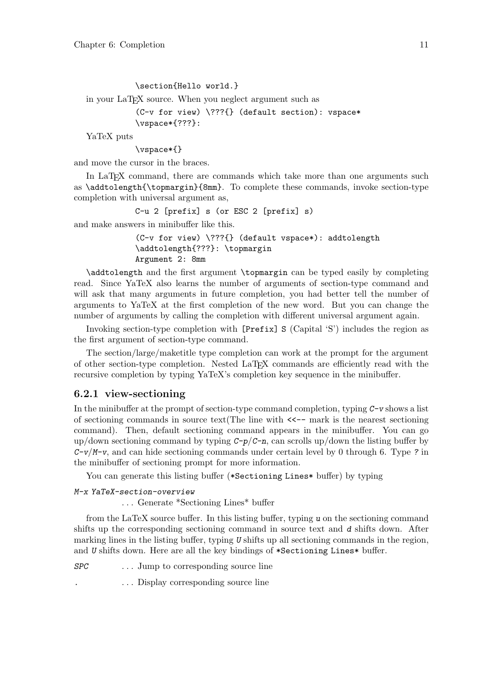```
\section{Hello world.}
in your LaT<sub>EX</sub> source. When you neglect argument such as
            (C-v for view) \???{} (default section): vspace*
```
\vspace\*{???}:

YaTeX puts

\vspace\*{}

and move the cursor in the braces.

In LaT<sub>EX</sub> command, there are commands which take more than one arguments such as \addtolength{\topmargin}{8mm}. To complete these commands, invoke section-type completion with universal argument as,

```
C-u 2 [prefix] s (or ESC 2 [prefix] s)
```
and make answers in minibuffer like this.

```
(C-v for view) \???{} (default vspace*): addtolength
\addtolength{???}: \topmargin
Argument 2: 8mm
```
\addtolength and the first argument \topmargin can be typed easily by completing read. Since YaTeX also learns the number of arguments of section-type command and will ask that many arguments in future completion, you had better tell the number of arguments to YaTeX at the first completion of the new word. But you can change the number of arguments by calling the completion with different universal argument again.

Invoking section-type completion with [Prefix] S (Capital 'S') includes the region as the first argument of section-type command.

The section/large/maketitle type completion can work at the prompt for the argument of other section-type completion. Nested LaT<sub>E</sub>X commands are efficiently read with the recursive completion by typing YaTeX's completion key sequence in the minibuffer.

## **6.2.1 view-sectioning**

In the minibuffer at the prompt of section-type command completion, typing *C-v* shows a list of sectioning commands in source text(The line with  $\lt\lt\sim$ - mark is the nearest sectioning command). Then, default sectioning command appears in the minibuffer. You can go up/down sectioning command by typing *C-p*/*C-n*, can scrolls up/down the listing buffer by *C-v*/*M-v*, and can hide sectioning commands under certain level by 0 through 6. Type *?* in the minibuffer of sectioning prompt for more information.

You can generate this listing buffer (\*Sectioning Lines\* buffer) by typing

```
M-x YaTeX-section-overview
```
. . . Generate \*Sectioning Lines\* buffer

from the LaTeX source buffer. In this listing buffer, typing *u* on the sectioning command shifts up the corresponding sectioning command in source text and *d* shifts down. After marking lines in the listing buffer, typing *U* shifts up all sectioning commands in the region, and *U* shifts down. Here are all the key bindings of \*Sectioning Lines\* buffer.

*SPC* . . . Jump to corresponding source line

*.* . . . Display corresponding source line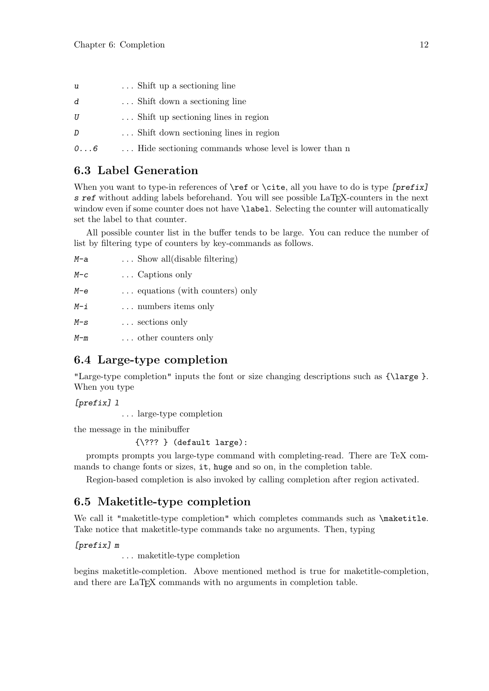- *u* . . . Shift up a sectioning line
- *d* . . . Shift down a sectioning line
- *U* . . . Shift up sectioning lines in region
- *D* ... Shift down sectioning lines in region

*0...6* . . . Hide sectioning commands whose level is lower than n

# **6.3 Label Generation**

When you want to type-in references of **\ref** or **\cite**, all you have to do is type *[prefix] s* ref without adding labels beforehand. You will see possible LaT<sub>EX</sub>-counters in the next window even if some counter does not have **\label.** Selecting the counter will automatically set the label to that counter.

All possible counter list in the buffer tends to be large. You can reduce the number of list by filtering type of counters by key-commands as follows.

| M-a   | $\ldots$ Show all (disable filtering) |
|-------|---------------------------------------|
| $M-c$ | $\ldots$ Captions only                |
| M-е   | equations (with counters) only        |
| M-i   | numbers items only                    |
| $M-S$ | $\ldots$ sections only                |
| $M-m$ | other counters only                   |

# **6.4 Large-type completion**

"Large-type completion" inputs the font or size changing descriptions such as {\large }. When you type

*[prefix] l*

. . . large-type completion

the message in the minibuffer

### {\??? } (default large):

prompts prompts you large-type command with completing-read. There are TeX commands to change fonts or sizes, it, huge and so on, in the completion table.

Region-based completion is also invoked by calling completion after region activated.

# **6.5 Maketitle-type completion**

We call it "maketitle-type completion" which completes commands such as \maketitle. Take notice that maketitle-type commands take no arguments. Then, typing

#### *[prefix] m*

. . . maketitle-type completion

begins maketitle-completion. Above mentioned method is true for maketitle-completion, and there are LaTFX commands with no arguments in completion table.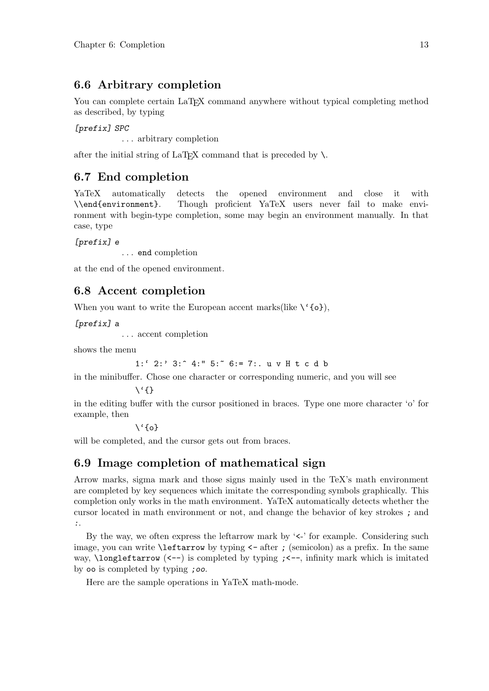# **6.6 Arbitrary completion**

You can complete certain LaT<sub>EX</sub> command anywhere without typical completing method as described, by typing

*[prefix] SPC*

. . . arbitrary completion

after the initial string of LaT<sub>EX</sub> command that is preceded by  $\setminus$ .

# **6.7 End completion**

YaTeX automatically detects the opened environment and close it with \\end{environment}. Though proficient YaTeX users never fail to make environment with begin-type completion, some may begin an environment manually. In that case, type

*[prefix] e*

. . . end completion

at the end of the opened environment.

# **6.8 Accent completion**

When you want to write the European accent marks(like  $\setminus \{o\}$ ),

*[prefix] a*

. . . accent completion

shows the menu

```
1:' 2:' 3:^ 4:" 5:~ 6:= 7:. u v H t c d b
```
in the minibuffer. Chose one character or corresponding numeric, and you will see

```
\langle \}
```
in the editing buffer with the cursor positioned in braces. Type one more character 'o' for example, then

 $\{o\}$ 

will be completed, and the cursor gets out from braces.

# **6.9 Image completion of mathematical sign**

Arrow marks, sigma mark and those signs mainly used in the TeX's math environment are completed by key sequences which imitate the corresponding symbols graphically. This completion only works in the math environment. YaTeX automatically detects whether the cursor located in math environment or not, and change the behavior of key strokes *;* and *:*.

By the way, we often express the leftarrow mark by  $\leq$  for example. Considering such image, you can write \leftarrow by typing <*-* after *;* (semicolon) as a prefix. In the same way, \longleftarrow (<--) is completed by typing *;*<*--*, infinity mark which is imitated by oo is completed by typing *;oo*.

Here are the sample operations in YaTeX math-mode.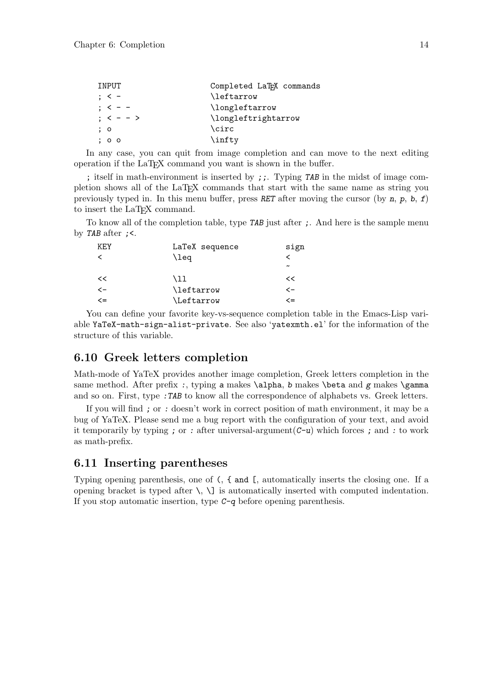| INPUT                     | Completed LaT <sub>F</sub> X commands |
|---------------------------|---------------------------------------|
| $\therefore$ $\lt$ $\div$ | \leftarrow                            |
| $: < - -$                 | \longleftarrow                        |
| $\frac{1}{2}$ < - - >     | \longleftrightarrow                   |
| $\colon$ $\circ$          | \circ                                 |
| ; o o                     | \infty                                |

In any case, you can quit from image completion and can move to the next editing operation if the LaTEX command you want is shown in the buffer.

; itself in math-environment is inserted by *;;*. Typing *TAB* in the midst of image completion shows all of the LaTEX commands that start with the same name as string you previously typed in. In this menu buffer, press *RET* after moving the cursor (by *n*, *p*, *b*, *f*) to insert the LaT<sub>EX</sub> command.

To know all of the completion table, type *TAB* just after *;*. And here is the sample menu by *TAB* after *;*<.

| KF.Y         | LaTeX sequence   | sign                  |
|--------------|------------------|-----------------------|
| ≺            | \leq             |                       |
|              |                  | $\tilde{\phantom{a}}$ |
| <<           | \11              | <<                    |
| $\leftarrow$ | \leftarrow       | <一                    |
| <=           | <i>Leftarrow</i> | <=                    |

You can define your favorite key-vs-sequence completion table in the Emacs-Lisp variable YaTeX-math-sign-alist-private. See also 'yatexmth.el' for the information of the structure of this variable.

# **6.10 Greek letters completion**

Math-mode of YaTeX provides another image completion, Greek letters completion in the same method. After prefix :, typing a makes \alpha, *b* makes \beta and *g* makes \gamma and so on. First, type *:TAB* to know all the correspondence of alphabets vs. Greek letters.

If you will find *;* or *:* doesn't work in correct position of math environment, it may be a bug of YaTeX. Please send me a bug report with the configuration of your text, and avoid it temporarily by typing *;* or *:* after universal-argument(*C-u*) which forces *;* and *:* to work as math-prefix.

## **6.11 Inserting parentheses**

Typing opening parenthesis, one of (, { and [, automatically inserts the closing one. If a opening bracket is typed after  $\setminus$ ,  $\setminus$  is automatically inserted with computed indentation. If you stop automatic insertion, type *C-q* before opening parenthesis.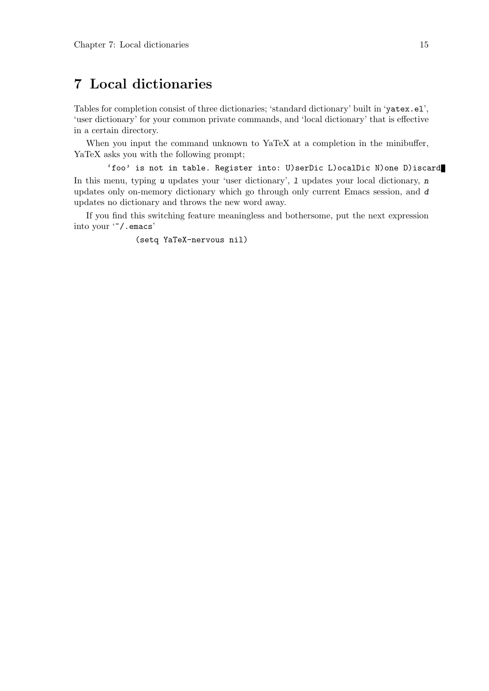# **7 Local dictionaries**

Tables for completion consist of three dictionaries; 'standard dictionary' built in 'yatex.el', 'user dictionary' for your common private commands, and 'local dictionary' that is effective in a certain directory.

When you input the command unknown to YaTeX at a completion in the minibuffer, YaTeX asks you with the following prompt;

'foo' is not in table. Register into: U)serDic L)ocalDic N)one D)iscard In this menu, typing *u* updates your 'user dictionary', *l* updates your local dictionary, *n* updates only on-memory dictionary which go through only current Emacs session, and *d* updates no dictionary and throws the new word away.

If you find this switching feature meaningless and bothersome, put the next expression into your '~/.emacs'

(setq YaTeX-nervous nil)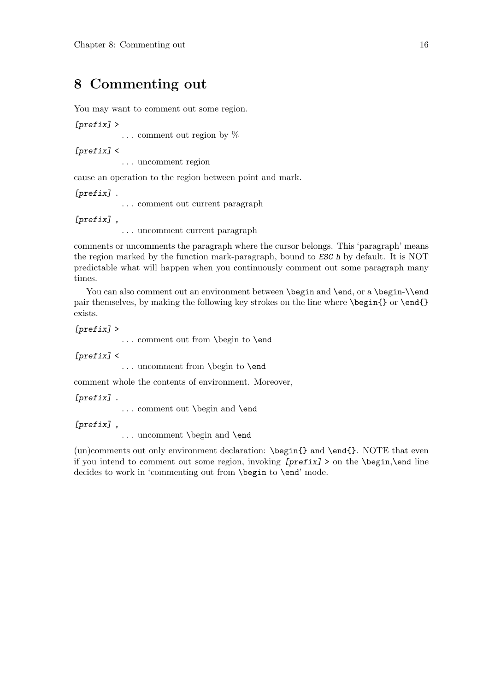# **8 Commenting out**

You may want to comment out some region.

*[prefix]* >

 $\ldots$  comment out region by  $\%$ 

*[prefix]* <

. . . uncomment region

cause an operation to the region between point and mark.

*[prefix] .*

. . . comment out current paragraph

*[prefix] ,*

. . . uncomment current paragraph

comments or uncomments the paragraph where the cursor belongs. This 'paragraph' means the region marked by the function mark-paragraph, bound to *ESC h* by default. It is NOT predictable what will happen when you continuously comment out some paragraph many times.

You can also comment out an environment between \begin and \end, or a \begin-\\end pair themselves, by making the following key strokes on the line where  $\begin{cases}$  begin{} or  $\end{cases}$ exists.

*[prefix]* >

. . . comment out from \begin to \end

*[prefix]* <

. . . uncomment from \begin to \end

comment whole the contents of environment. Moreover,

*[prefix] .*

. . . comment out \begin and \end

*[prefix] ,*

. . . uncomment \begin and \end

(un)comments out only environment declaration: \begin{} and \end{}. NOTE that even if you intend to comment out some region, invoking *[prefix]* > on the \begin,\end line decides to work in 'commenting out from **\begin** to **\end'** mode.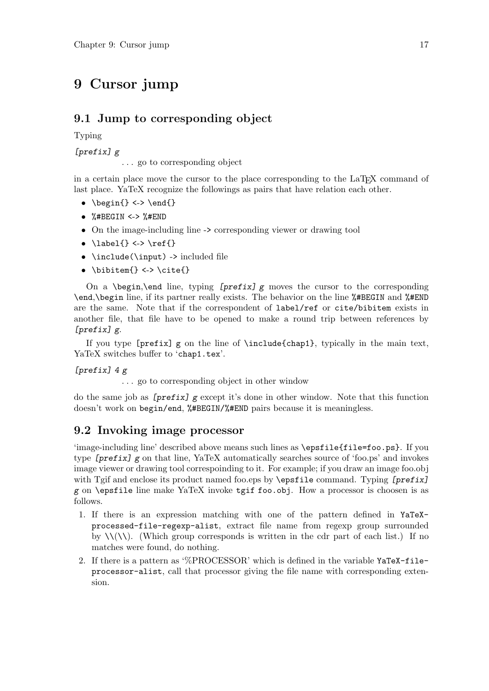# **9 Cursor jump**

# **9.1 Jump to corresponding object**

Typing

*[prefix] g*

. . . go to corresponding object

in a certain place move the cursor to the place corresponding to the LaT<sub>E</sub>X command of last place. YaTeX recognize the followings as pairs that have relation each other.

- *•* \begin{} <-> \end{}
- *•* %#BEGIN <-> %#END
- On the image-including line -> corresponding viewer or drawing tool
- *•* \label{} <-> \ref{}
- \include(\input) -> included file
- *•* \bibitem{} <-> \cite{}

On a \begin,\end line, typing *[prefix] g* moves the cursor to the corresponding \end,\begin line, if its partner really exists. The behavior on the line %#BEGIN and %#END are the same. Note that if the correspondent of label/ref or cite/bibitem exists in another file, that file have to be opened to make a round trip between references by *[prefix] g*.

If you type [prefix] g on the line of \include{chap1}, typically in the main text, YaTeX switches buffer to 'chap1.tex'.

*[prefix] 4 g*

. . . go to corresponding object in other window

do the same job as *[prefix] g* except it's done in other window. Note that this function doesn't work on begin/end, %#BEGIN/%#END pairs because it is meaningless.

# **9.2 Invoking image processor**

'image-including line' described above means such lines as \epsfile{file=foo.ps}. If you type *[prefix] g* on that line, YaTeX automatically searches source of 'foo.ps' and invokes image viewer or drawing tool correspoinding to it. For example; if you draw an image foo.obj with Tgif and enclose its product named foo.eps by \epsfile command. Typing *[prefix] g* on \epsfile line make YaTeX invoke tgif foo.obj. How a processor is choosen is as follows.

- 1. If there is an expression matching with one of the pattern defined in YaTeXprocessed-file-regexp-alist, extract file name from regexp group surrounded by  $\setminus \setminus (\setminus)$ . (Which group corresponds is written in the cdr part of each list.) If no matches were found, do nothing.
- 2. If there is a pattern as '%PROCESSOR' which is defined in the variable YaTeX-fileprocessor-alist, call that processor giving the file name with corresponding extension.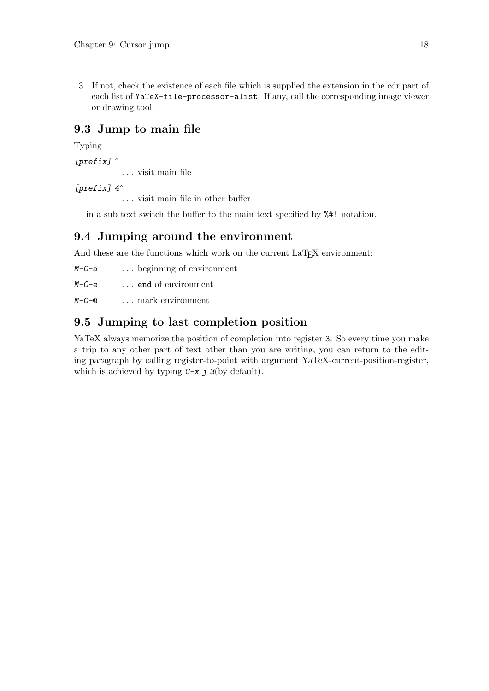3. If not, check the existence of each file which is supplied the extension in the cdr part of each list of YaTeX-file-processor-alist. If any, call the corresponding image viewer or drawing tool.

# **9.3 Jump to main file**

## Typing

*[prefix]* ^

. . . visit main file

## *[prefix] 4*^

. . . visit main file in other buffer

in a sub text switch the buffer to the main text specified by %#! notation.

# **9.4 Jumping around the environment**

And these are the functions which work on the current LaT<sub>E</sub>X environment:

| $M-C-a$ |  |  |  | beginning of environment |
|---------|--|--|--|--------------------------|
|---------|--|--|--|--------------------------|

*M-C-e* . . . end of environment

*M-C-*@ . . . mark environment

# **9.5 Jumping to last completion position**

YaTeX always memorize the position of completion into register 3. So every time you make a trip to any other part of text other than you are writing, you can return to the editing paragraph by calling register-to-point with argument YaTeX-current-position-register, which is achieved by typing *C-x j 3*(by default).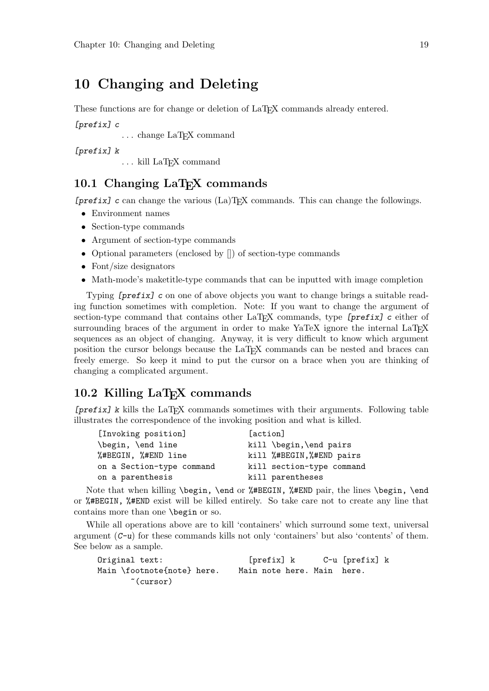# **10 Changing and Deleting**

These functions are for change or deletion of LaT<sub>EX</sub> commands already entered.

*[prefix] c*

... change LaT<sub>E</sub>X command

*[prefix] k*

... kill LaT<sub>E</sub>X command

# 10.1 Changing LaT<sub>E</sub>X commands

*[prefix] c* can change the various (La)TEX commands. This can change the followings.

- *•* Environment names
- *•* Section-type commands
- *•* Argument of section-type commands
- Optional parameters (enclosed by  $\Box$ ) of section-type commands
- Font/size designators
- Math-mode's maketitle-type commands that can be inputted with image completion

Typing *[prefix] c* on one of above objects you want to change brings a suitable reading function sometimes with completion. Note: If you want to change the argument of section-type command that contains other LaTEX commands, type *[prefix] c* either of surrounding braces of the argument in order to make YaTeX ignore the internal LaTFX sequences as an object of changing. Anyway, it is very difficult to know which argument position the cursor belongs because the LaTEX commands can be nested and braces can freely emerge. So keep it mind to put the cursor on a brace when you are thinking of changing a complicated argument.

# 10.2 Killing LaT<sub>E</sub>X commands

*[prefix] k* kills the LaT<sub>E</sub>X commands sometimes with their arguments. Following table illustrates the correspondence of the invoking position and what is killed.

| [action]                  |
|---------------------------|
| kill \begin, \end pairs   |
| kill %#BEGIN, %#END pairs |
| kill section-type command |
| kill parentheses          |
|                           |

Note that when killing \begin, \end or %#BEGIN, %#END pair, the lines \begin, \end or %#BEGIN, %#END exist will be killed entirely. So take care not to create any line that contains more than one \begin or so.

While all operations above are to kill 'containers' which surround some text, universal argument (*C-u*) for these commands kills not only 'containers' but also 'contents' of them. See below as a sample.

| Original text:             | [prefix] k                 | C-u [prefix] k |  |  |
|----------------------------|----------------------------|----------------|--|--|
| Main \footnote{note} here. | Main note here. Main here. |                |  |  |
| ~(cursor)                  |                            |                |  |  |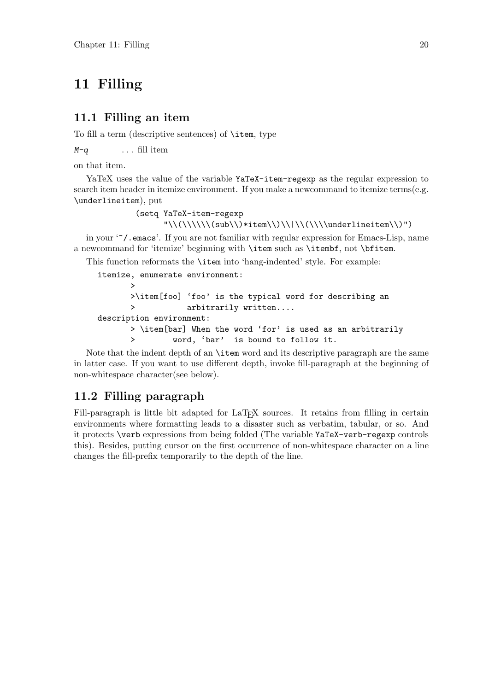# **11 Filling**

## **11.1 Filling an item**

To fill a term (descriptive sentences) of \item, type

*M-q* . . . fill item

on that item.

YaTeX uses the value of the variable YaTeX-item-regexp as the regular expression to search item header in itemize environment. If you make a newcommand to itemize terms(e.g. \underlineitem), put

```
(setq YaTeX-item-regexp
      "\\\(\{\\\\\(\sub)\}*\item\\)\\\\\/\\\\\(\\\\\t\\\\\</math>
```
in your '~/.emacs'. If you are not familiar with regular expression for Emacs-Lisp, name a newcommand for 'itemize' beginning with \item such as \itembf, not \bfitem.

This function reformats the \item into 'hang-indented' style. For example:

```
itemize, enumerate environment:
      >
      >\item[foo] 'foo' is the typical word for describing an
      > arbitrarily written....
description environment:
      > \item[bar] When the word 'for' is used as an arbitrarily
      > word, 'bar' is bound to follow it.
```
Note that the indent depth of an \item word and its descriptive paragraph are the same in latter case. If you want to use different depth, invoke fill-paragraph at the beginning of non-whitespace character(see below).

# **11.2 Filling paragraph**

Fill-paragraph is little bit adapted for LaT<sub>E</sub>X sources. It retains from filling in certain environments where formatting leads to a disaster such as verbatim, tabular, or so. And it protects \verb expressions from being folded (The variable YaTeX-verb-regexp controls this). Besides, putting cursor on the first occurrence of non-whitespace character on a line changes the fill-prefix temporarily to the depth of the line.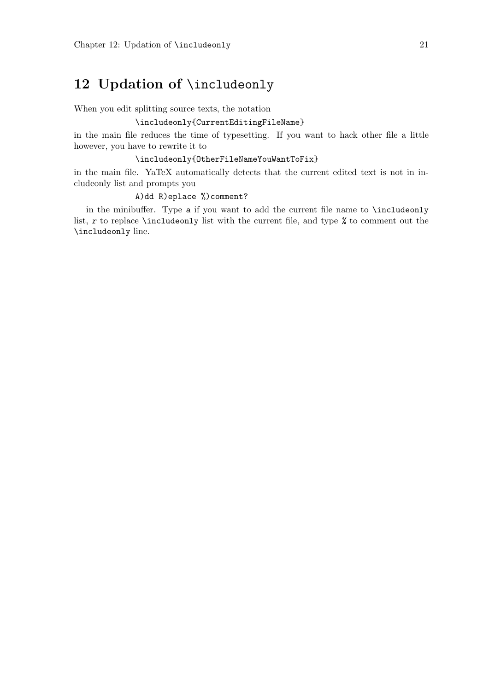# **12 Updation of** \includeonly

When you edit splitting source texts, the notation

## \includeonly{CurrentEditingFileName}

in the main file reduces the time of typesetting. If you want to hack other file a little however, you have to rewrite it to

### \includeonly{OtherFileNameYouWantToFix}

in the main file. YaTeX automatically detects that the current edited text is not in includeonly list and prompts you

## A)dd R)eplace %)comment?

in the minibuffer. Type *a* if you want to add the current file name to \includeonly list, *r* to replace \includeonly list with the current file, and type *%* to comment out the \includeonly line.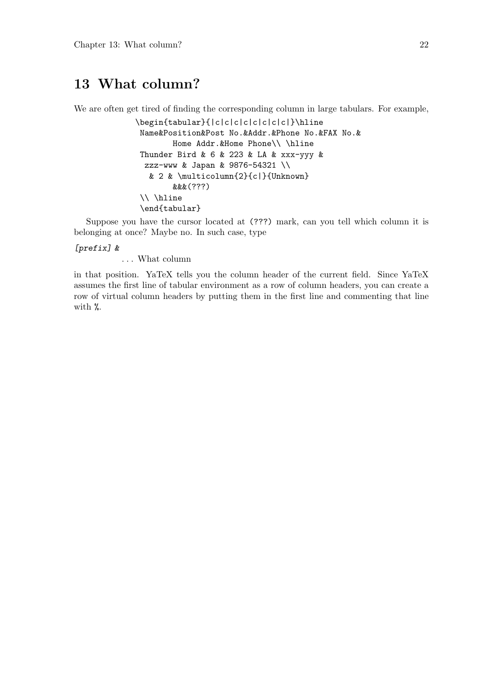# **13 What column?**

We are often get tired of finding the corresponding column in large tabulars. For example,

```
\begin{tabular}{|c|c|c|c|c|c|c|c|}\hline
Name&Position&Post No.&Addr.&Phone No.&FAX No.&
        Home Addr. &Home Phone\\ \hline
Thunder Bird & 6 & 223 & LA & xxx-yyy &
 zzz-www & Japan & 9876-54321 \\
  & 2 & \multicolumn{2}{c|}{Unknown}
        &&&(???)
 \\ \hline
 \end{tabular}
```
Suppose you have the cursor located at (???) mark, can you tell which column it is belonging at once? Maybe no. In such case, type

#### *[prefix] &*

. . . What column

in that position. YaTeX tells you the column header of the current field. Since YaTeX assumes the first line of tabular environment as a row of column headers, you can create a row of virtual column headers by putting them in the first line and commenting that line with %.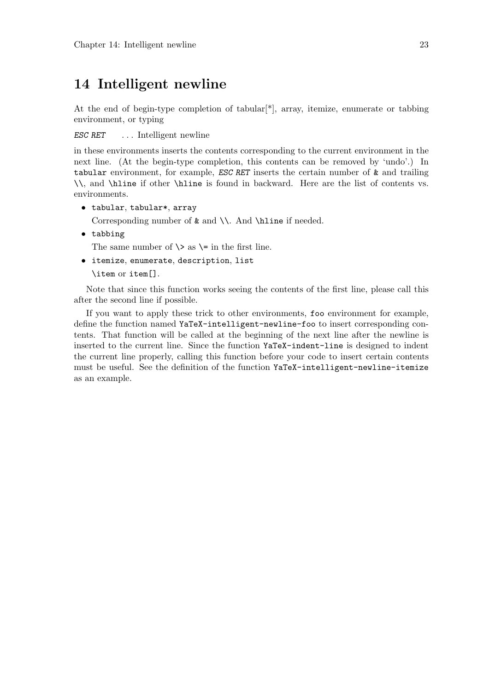# **14 Intelligent newline**

At the end of begin-type completion of tabular[\*], array, itemize, enumerate or tabbing environment, or typing

*ESC RET* . . . Intelligent newline

in these environments inserts the contents corresponding to the current environment in the next line. (At the begin-type completion, this contents can be removed by 'undo'.) In tabular environment, for example, *ESC RET* inserts the certain number of & and trailing \\, and \hline if other \hline is found in backward. Here are the list of contents vs. environments.

*•* tabular, tabular\*, array

Corresponding number of  $\&$  and  $\\\$ . And  $\hbox{hline if needed.}$ 

*•* tabbing

The same number of  $\>$  as  $\>$  in the first line.

*•* itemize, enumerate, description, list

\item or item[].

Note that since this function works seeing the contents of the first line, please call this after the second line if possible.

If you want to apply these trick to other environments, foo environment for example, define the function named YaTeX-intelligent-newline-foo to insert corresponding contents. That function will be called at the beginning of the next line after the newline is inserted to the current line. Since the function YaTeX-indent-line is designed to indent the current line properly, calling this function before your code to insert certain contents must be useful. See the definition of the function YaTeX-intelligent-newline-itemize as an example.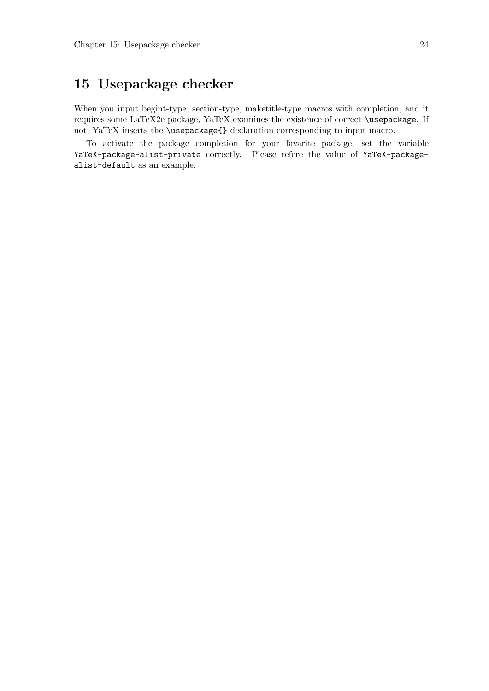# **15 Usepackage checker**

When you input begint-type, section-type, maketitle-type macros with completion, and it requires some LaTeX2e package, YaTeX examines the existence of correct \usepackage. If not, YaTeX inserts the \usepackage{} declaration corresponding to input macro.

To activate the package completion for your favarite package, set the variable YaTeX-package-alist-private correctly. Please refere the value of YaTeX-packagealist-default as an example.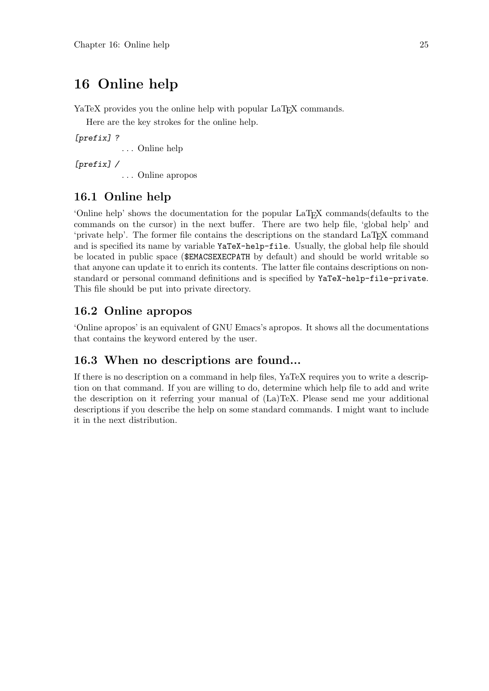# **16 Online help**

YaTeX provides you the online help with popular LaT<sub>EX</sub> commands.

Here are the key strokes for the online help.

*[prefix] ?*

. . . Online help

*[prefix] /*

. . . Online apropos

# **16.1 Online help**

'Online help' shows the documentation for the popular LaTEX commands(defaults to the commands on the cursor) in the next buffer. There are two help file, 'global help' and 'private help'. The former file contains the descriptions on the standard LaT<sub>E</sub>X command and is specified its name by variable YaTeX-help-file. Usually, the global help file should be located in public space (\$EMACSEXECPATH by default) and should be world writable so that anyone can update it to enrich its contents. The latter file contains descriptions on nonstandard or personal command definitions and is specified by YaTeX-help-file-private. This file should be put into private directory.

# **16.2 Online apropos**

'Online apropos' is an equivalent of GNU Emacs's apropos. It shows all the documentations that contains the keyword entered by the user.

# **16.3 When no descriptions are found...**

If there is no description on a command in help files, YaTeX requires you to write a description on that command. If you are willing to do, determine which help file to add and write the description on it referring your manual of (La)TeX. Please send me your additional descriptions if you describe the help on some standard commands. I might want to include it in the next distribution.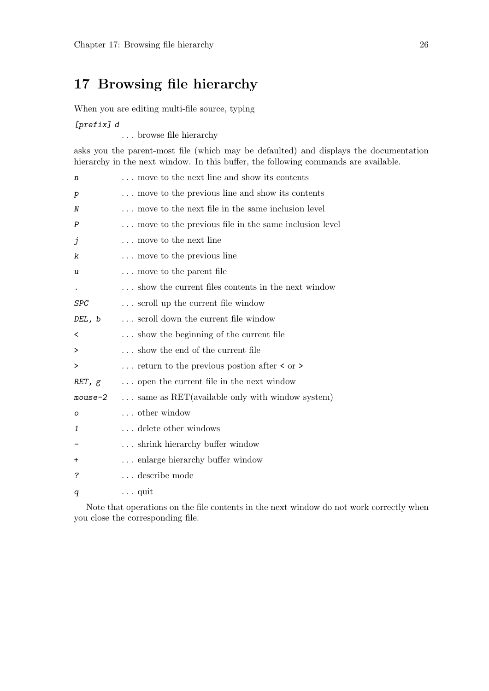# **17 Browsing file hierarchy**

When you are editing multi-file source, typing

*[prefix] d*

. . . browse file hierarchy

asks you the parent-most file (which may be defaulted) and displays the documentation hierarchy in the next window. In this buffer, the following commands are available.

| n          | move to the next line and show its contents                          |
|------------|----------------------------------------------------------------------|
| р          | move to the previous line and show its contents                      |
| Ν          | move to the next file in the same inclusion level                    |
| Ρ          | move to the previous file in the same inclusion level                |
| j          | move to the next line                                                |
| k          | move to the previous line                                            |
| u          | move to the parent file                                              |
| $\bullet$  | show the current files contents in the next window                   |
| <b>SPC</b> | scroll up the current file window                                    |
| DEL, b     | scroll down the current file window                                  |
| <          | show the beginning of the current file                               |
| >          | show the end of the current file                                     |
| >          | $\ldots$ return to the previous postion after $\langle$ or $\rangle$ |
| RET, g     | open the current file in the next window                             |
| mouse-2    | $\ldots$ same as RET(available only with window system)              |
| O          | other window                                                         |
| 1          | delete other windows                                                 |
|            | shrink hierarchy buffer window                                       |
| +          | enlarge hierarchy buffer window                                      |
| ?          | $\ldots$ describe mode                                               |
| q          | $\ldots$ quit                                                        |

Note that operations on the file contents in the next window do not work correctly when you close the corresponding file.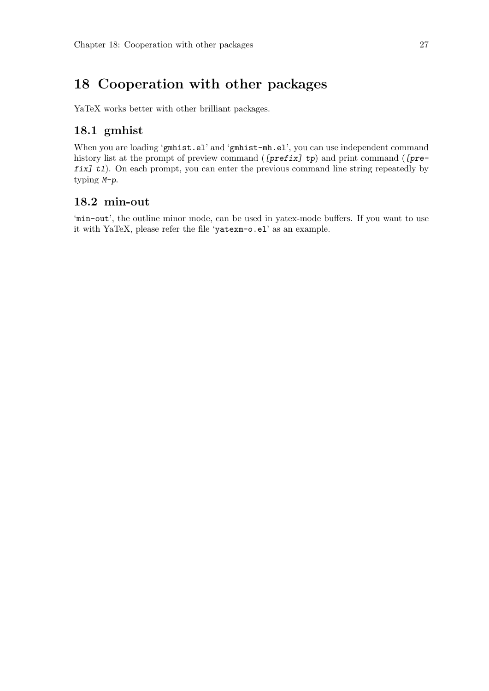# **18 Cooperation with other packages**

YaTeX works better with other brilliant packages.

# **18.1 gmhist**

When you are loading 'gmhist.el' and 'gmhist-mh.el', you can use independent command history list at the prompt of preview command (*[prefix] tp*) and print command (*[prefix] tl*). On each prompt, you can enter the previous command line string repeatedly by typing *M-p*.

## **18.2 min-out**

'min-out', the outline minor mode, can be used in yatex-mode buffers. If you want to use it with YaTeX, please refer the file 'yatexm-o.el' as an example.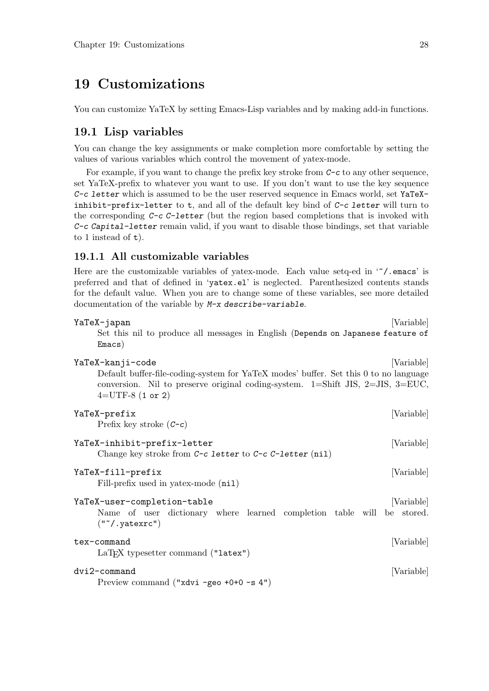# **19 Customizations**

You can customize YaTeX by setting Emacs-Lisp variables and by making add-in functions.

# **19.1 Lisp variables**

You can change the key assignments or make completion more comfortable by setting the values of various variables which control the movement of yatex-mode.

For example, if you want to change the prefix key stroke from *C-c* to any other sequence, set YaTeX-prefix to whatever you want to use. If you don't want to use the key sequence *C-c letter* which is assumed to be the user reserved sequence in Emacs world, set YaTeXinhibit-prefix-letter to t, and all of the default key bind of *C-c letter* will turn to the corresponding *C-c C-letter* (but the region based completions that is invoked with *C-c Capital-letter* remain valid, if you want to disable those bindings, set that variable to 1 instead of t).

## **19.1.1 All customizable variables**

Here are the customizable variables of yatex-mode. Each value setq-ed in  $\lq\lq$ . emacs' is preferred and that of defined in 'yatex.el' is neglected. Parenthesized contents stands for the default value. When you are to change some of these variables, see more detailed documentation of the variable by *M-x describe-variable*.

| YaTeX-japan<br>Set this nil to produce all messages in English (Depends on Japanese feature of<br>Emacs)                                                                                                                   | [Variable] |
|----------------------------------------------------------------------------------------------------------------------------------------------------------------------------------------------------------------------------|------------|
| YaTeX-kanji-code<br>Default buffer-file-coding-system for YaTeX modes' buffer. Set this 0 to no language<br>conversion. Nil to preserve original coding-system. $1 = Shift JIS, 2 = JIS, 3 = EUC,$<br>$4 = UTF-8$ (1 or 2) | [Variable] |
| YaTeX-prefix<br>Prefix key stroke $(C-c)$                                                                                                                                                                                  | [Variable] |
| YaTeX-inhibit-prefix-letter<br>Change key stroke from $C-c$ letter to $C-c$ C-letter (nil)                                                                                                                                 | [Variable] |
| YaTeX-fill-prefix<br>Fill-prefix used in yatex-mode (nil)                                                                                                                                                                  | [Variable] |
| YaTeX-user-completion-table<br>Name of user dictionary where learned completion table will be stored.<br>$("^*/.yatexc")$                                                                                                  | [Variable] |
| tex-command<br>$LaTeX$ typesetter command ("latex")                                                                                                                                                                        | [Variable] |
| dvi2-command<br>Preview command ("xdvi -geo +0+0 -s 4")                                                                                                                                                                    | [Variable] |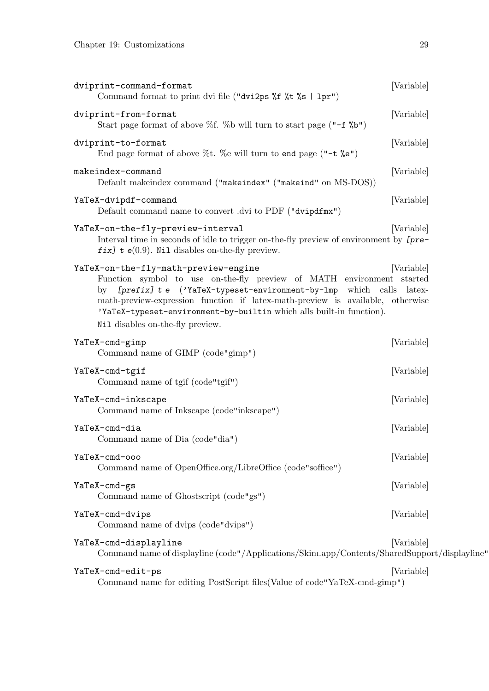| dviprint-command-format<br>Command format to print dvi file ("dvi2ps %f %t %s   1pr")                                                                                                                                                                                                                                                                                            | [Variable]           |
|----------------------------------------------------------------------------------------------------------------------------------------------------------------------------------------------------------------------------------------------------------------------------------------------------------------------------------------------------------------------------------|----------------------|
| dviprint-from-format<br>Start page format of above %f. %b will turn to start page $($ "-f %b")                                                                                                                                                                                                                                                                                   | [Variable]           |
| dviprint-to-format<br>End page format of above %t. %e will turn to end page (" $-t$ %e")                                                                                                                                                                                                                                                                                         | [Variable]           |
| makeindex-command<br>Default makeindex command ("makeindex" ("makeind" on MS-DOS))                                                                                                                                                                                                                                                                                               | [Variable]           |
| YaTeX-dvipdf-command<br>Default command name to convert .dvi to PDF ("dvipdfmx")                                                                                                                                                                                                                                                                                                 | [Variable]           |
| YaTeX-on-the-fly-preview-interval<br>Interval time in seconds of idle to trigger on-the-fly preview of environment by [pre-<br>fix] $t e(0.9)$ . Nil disables on-the-fly preview.                                                                                                                                                                                                | [Variable]           |
| YaTeX-on-the-fly-math-preview-engine<br>Function symbol to use on-the-fly preview of MATH environment started<br>[prefix] t e ('YaTeX-typeset-environment-by-lmp which calls<br>by<br>math-preview-expression function if latex-math-preview is available, otherwise<br>'YaTeX-typeset-environment-by-builtin which alls built-in function).<br>Nil disables on-the-fly preview. | [Variable]<br>latex- |
| YaTeX-cmd-gimp<br>Command name of GIMP (code"gimp")                                                                                                                                                                                                                                                                                                                              | [Variable]           |
| YaTeX-cmd-tgif<br>Command name of tgif (code"tgif")                                                                                                                                                                                                                                                                                                                              | [Variable]           |
| YaTeX-cmd-inkscape<br>Command name of Inkscape (code"inkscape")                                                                                                                                                                                                                                                                                                                  | [Variable]           |
| YaTeX-cmd-dia<br>Command name of Dia (code"dia")                                                                                                                                                                                                                                                                                                                                 | [Variable]           |
| YaTeX-cmd-ooo<br>Command name of OpenOffice.org/LibreOffice (code"soffice")                                                                                                                                                                                                                                                                                                      | [Variable]           |
| YaTeX-cmd-gs<br>Command name of Ghostscript (code"gs")                                                                                                                                                                                                                                                                                                                           | [Variable]           |
| YaTeX-cmd-dvips<br>Command name of dvips (code"dvips")                                                                                                                                                                                                                                                                                                                           | [Variable]           |
| YaTeX-cmd-displayline<br>Command name of displayline (code"/Applications/Skim.app/Contents/SharedSupport/displayline"                                                                                                                                                                                                                                                            | [Variable]           |
| YaTeX-cmd-edit-ps<br>Command name for editing PostScript files (Value of code"YaTeX-cmd-gimp")                                                                                                                                                                                                                                                                                   | [Variable]           |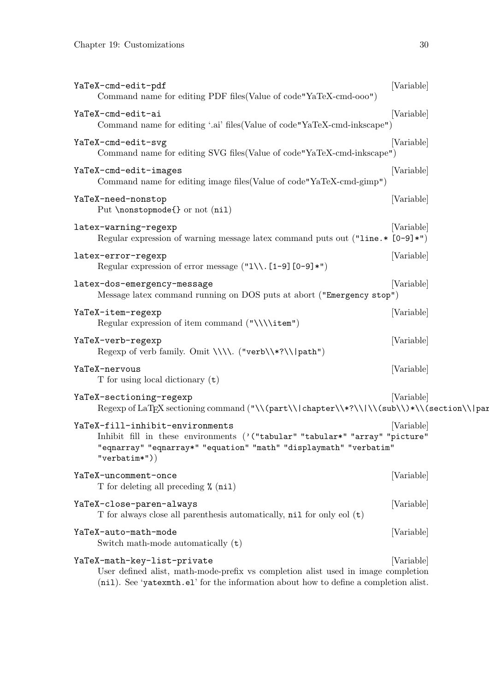| YaTeX-cmd-edit-pdf<br>Command name for editing PDF files (Value of code "YaTeX-cmd-ooo")                                                                                                                 | [Variable] |
|----------------------------------------------------------------------------------------------------------------------------------------------------------------------------------------------------------|------------|
| YaTeX-cmd-edit-ai<br>Command name for editing '.ai' files (Value of code "YaTeX-cmd-inkscape")                                                                                                           | [Variable] |
| YaTeX-cmd-edit-svg<br>Command name for editing SVG files (Value of code"YaTeX-cmd-inkscape")                                                                                                             | [Variable] |
| YaTeX-cmd-edit-images<br>Command name for editing image files (Value of code "YaTeX-cmd-gimp")                                                                                                           | [Variable] |
| YaTeX-need-nonstop<br>Put \nonstopmode{} or not (nil)                                                                                                                                                    | [Variable] |
| latex-warning-regexp<br>Regular expression of warning message latex command puts out $("line.* [0-9]*")$                                                                                                 | [Variable] |
| latex-error-regexp<br>Regular expression of error message $(\texttt{"l}\backslash\backslash\texttt{[1-9][0-9]*"}$                                                                                        | [Variable] |
| latex-dos-emergency-message<br>Message latex command running on DOS puts at abort ("Emergency stop")                                                                                                     | [Variable] |
| YaTeX-item-regexp<br>Regular expression of item command $(\sqrt{\times})$                                                                                                                                | [Variable] |
| YaTeX-verb-regexp<br>Regexp of verb family. Omit \\\\. ("verb\\*?\\ path")                                                                                                                               | [Variable] |
| YaTeX-nervous<br>T for using local dictionary $(t)$                                                                                                                                                      | [Variable] |
| YaTeX-sectioning-regexp<br>Regexp of LaT <sub>F</sub> X sectioning command ("\\(part\\ chapter\\*?\\ \\(sub\\)*\\(section\\ par                                                                          | [Variable] |
| YaTeX-fill-inhibit-environments<br>Inhibit fill in these environments ('("tabular" "tabular*" "array" "picture"<br>"eqnarray" "eqnarray*" "equation" "math" "displaymath" "verbatim"<br>$"verbatim*")$   | [Variable] |
| YaTeX-uncomment-once<br>T for deleting all preceding % (nil)                                                                                                                                             | [Variable] |
| YaTeX-close-paren-always<br>T for always close all parenthesis automatically, nil for only eol (t)                                                                                                       | [Variable] |
| YaTeX-auto-math-mode<br>Switch math-mode automatically $(t)$                                                                                                                                             | [Variable] |
| YaTeX-math-key-list-private<br>User defined alist, math-mode-prefix vs completion alist used in image completion<br>(nil). See 'yatexmth.el' for the information about how to define a completion alist. | [Variable] |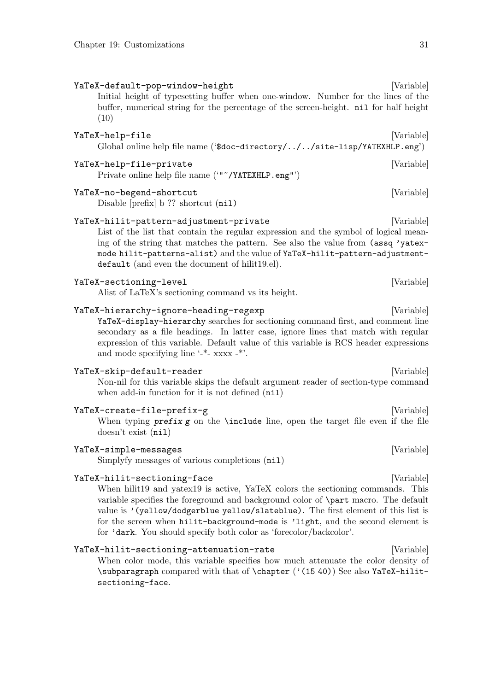YaTeX-default-pop-window-height [Variable] Initial height of typesetting buffer when one-window. Number for the lines of the buffer, numerical string for the percentage of the screen-height. nil for half height (10) YaTeX-help-file [Variable] Global online help file name ('\$doc-directory/../../site-lisp/YATEXHLP.eng')

#### YaTeX-help-file-private [Variable]

Private online help file name ('"~/YATEXHLP.eng"')

#### YaTeX-no-begend-shortcut [Variable]

Disable [prefix] b ?? shortcut (nil)

#### YaTeX-hilit-pattern-adjustment-private [Variable]

List of the list that contain the regular expression and the symbol of logical meaning of the string that matches the pattern. See also the value from (assq 'yatexmode hilit-patterns-alist) and the value of YaTeX-hilit-pattern-adjustmentdefault (and even the document of hilit19.el).

#### YaTeX-sectioning-level [Variable] [Variable]

Alist of LaTeX's sectioning command vs its height.

#### YaTeX-hierarchy-ignore-heading-regexp [Variable]

YaTeX-display-hierarchy searches for sectioning command first, and comment line secondary as a file headings. In latter case, ignore lines that match with regular expression of this variable. Default value of this variable is RCS header expressions and mode specifying line '-\*- xxxx -\*'.

#### YaTeX-skip-default-reader [Variable]

Non-nil for this variable skips the default argument reader of section-type command when add-in function for it is not defined (nil)

## YaTeX-create-file-prefix-g [Variable] When typing  $prefix g$  on the **\include** line, open the target file even if the file doesn't exist (nil)

#### YaTeX-simple-messages [Variable] [Variable]

Simplyfy messages of various completions (nil)

#### YaTeX-hilit-sectioning-face [Variable]

When hilit19 and yatex19 is active, YaTeX colors the sectioning commands. This variable specifies the foreground and background color of \part macro. The default value is '(yellow/dodgerblue yellow/slateblue). The first element of this list is for the screen when hilit-background-mode is 'light, and the second element is for 'dark. You should specify both color as 'forecolor/backcolor'.

#### YaTeX-hilit-sectioning-attenuation-rate [Variable]

When color mode, this variable specifies how much attenuate the color density of \subparagraph compared with that of \chapter ('(15 40)) See also YaTeX-hilitsectioning-face.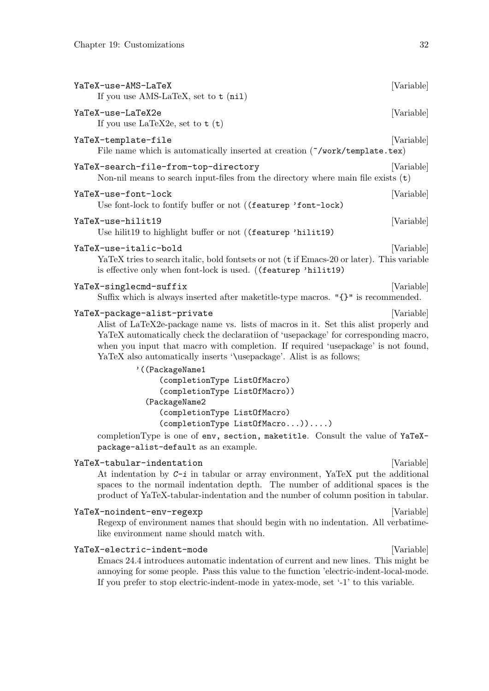| YaTeX-use-AMS-LaTeX<br>If you use AMS-LaTeX, set to $t$ (nil)                                                                                                                                                                                                                                                                                                                              | [Variable] |
|--------------------------------------------------------------------------------------------------------------------------------------------------------------------------------------------------------------------------------------------------------------------------------------------------------------------------------------------------------------------------------------------|------------|
| YaTeX-use-LaTeX2e<br>If you use LaTeX2e, set to $t(t)$                                                                                                                                                                                                                                                                                                                                     | [Variable] |
| YaTeX-template-file<br>File name which is automatically inserted at creation ("/work/template.tex)                                                                                                                                                                                                                                                                                         | [Variable] |
| YaTeX-search-file-from-top-directory<br>Non-nil means to search input-files from the directory where main file exists $(t)$                                                                                                                                                                                                                                                                | [Variable] |
| YaTeX-use-font-lock<br>Use font-lock to fontify buffer or not ((featurep 'font-lock)                                                                                                                                                                                                                                                                                                       | [Variable] |
| YaTeX-use-hilit19<br>Use hilit19 to highlight buffer or not ((featurep 'hilit19)                                                                                                                                                                                                                                                                                                           | [Variable] |
| YaTeX-use-italic-bold<br>YaTeX tries to search italic, bold fontsets or not (t if Emacs-20 or later). This variable<br>is effective only when font-lock is used. ((featurep 'hilit19)                                                                                                                                                                                                      | [Variable] |
| YaTeX-singlecmd-suffix<br>Suffix which is always inserted after maketitle-type macros. "{}" is recommended.                                                                                                                                                                                                                                                                                | [Variable] |
| YaTeX-package-alist-private<br>Alist of LaTeX2e-package name vs. lists of macros in it. Set this alist properly and<br>YaTeX automatically check the declaration of 'usepackage' for corresponding macro,<br>when you input that macro with completion. If required 'usepackage' is not found,<br>YaTeX also automatically inserts '\usepackage'. Alist is as follows;<br>' ((PackageName1 | [Variable] |
| (completionType ListOfMacro)<br>(completionType ListOfMacro))                                                                                                                                                                                                                                                                                                                              |            |
| (PackageName2<br>(completionType ListOfMacro)<br>(completionType ListOfMacro)))                                                                                                                                                                                                                                                                                                            |            |
| completionType is one of env, section, maketitle. Consult the value of YaTeX-<br>package-alist-default as an example.                                                                                                                                                                                                                                                                      |            |
|                                                                                                                                                                                                                                                                                                                                                                                            |            |

### YaTeX-tabular-indentation **but all the contract of the contract of the contract of the contract of the contract o**

At indentation by *C-i* in tabular or array environment, YaTeX put the additional spaces to the normail indentation depth. The number of additional spaces is the product of YaTeX-tabular-indentation and the number of column position in tabular.

#### YaTeX-noindent-env-regexp [Variable]

Regexp of environment names that should begin with no indentation. All verbatimelike environment name should match with.

#### YaTeX-electric-indent-mode [Variable]

Emacs 24.4 introduces automatic indentation of current and new lines. This might be annoying for some people. Pass this value to the function 'electric-indent-local-mode. If you prefer to stop electric-indent-mode in yatex-mode, set '-1' to this variable.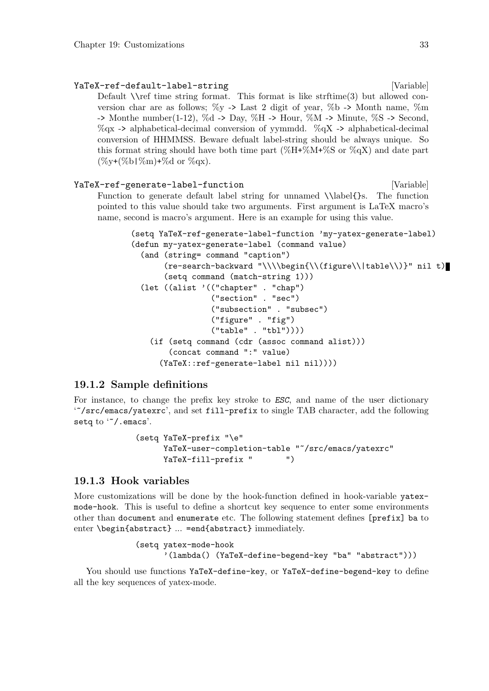YaTeX-ref-default-label-string [Variable] [Variable] Default  $\lvert \$ ref time string format. This format is like strftime(3) but allowed conversion char are as follows;  $\%$ y -> Last 2 digit of year,  $\%$ b -> Month name,  $\%$ m  $\rightarrow$  Monthe number(1-12), %d  $\rightarrow$  Day, %H  $\rightarrow$  Hour, %M  $\rightarrow$  Minute, %S  $\rightarrow$  Second,  $\%$ qx -> alphabetical-decimal conversion of yymmdd.  $\%$ qX -> alphabetical-decimal conversion of HHMMSS. Beware defualt label-string should be always unique. So this format string should have both time part  $(\%H^*\%M^*\%S)$  or  $(\%qX)$  and date part  $(\%y+(\%b)\%m)+\%d$  or  $\%qx$ ).

YaTeX-ref-generate-label-function [Variable] [Variable] Function to generate default label string for unnamed \\label{}s. The function pointed to this value should take two arguments. First argument is LaTeX macro's name, second is macro's argument. Here is an example for using this value.

```
(setq YaTeX-ref-generate-label-function 'my-yatex-generate-label)
(defun my-yatex-generate-label (command value)
  (and (string= command "caption")
       (re-search-backward "\\\\begin{\\(figure\\|table\\)}" nil t)
       (setq command (match-string 1)))
  (let ((alist '(("chapter" . "chap")
                 ("section" . "sec")
                 ("subsection" . "subsec")
                 ("figure" . "fig")
                 ("table" . "tbl"))))
    (if (setq command (cdr (assoc command alist)))
        (concat command ":" value)
      (YaTeX::ref-generate-label nil nil))))
```
## **19.1.2 Sample definitions**

For instance, to change the prefix key stroke to *ESC*, and name of the user dictionary '~/src/emacs/yatexrc', and set fill-prefix to single TAB character, add the following setq to "/.emacs'.

```
(setq YaTeX-prefix "\e"
     YaTeX-user-completion-table "~/src/emacs/yatexrc"
     YaTeX-fill-prefix " ")
```
## **19.1.3 Hook variables**

More customizations will be done by the hook-function defined in hook-variable yatexmode-hook. This is useful to define a shortcut key sequence to enter some environments other than document and enumerate etc. The following statement defines [prefix] ba to enter \begin{abstract} ... =end{abstract} immediately.

```
(setq yatex-mode-hook
      '(lambda() (YaTeX-define-begend-key "ba" "abstract")))
```
You should use functions YaTeX-define-key, or YaTeX-define-begend-key to define all the key sequences of yatex-mode.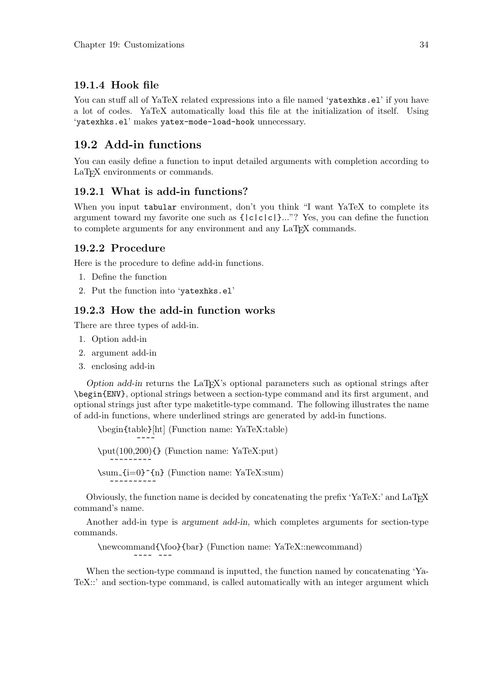# **19.1.4 Hook file**

You can stuff all of YaTeX related expressions into a file named 'yatexhks.el' if you have a lot of codes. YaTeX automatically load this file at the initialization of itself. Using 'yatexhks.el' makes yatex-mode-load-hook unnecessary.

# **19.2 Add-in functions**

You can easily define a function to input detailed arguments with completion according to LaT<sub>E</sub>X environments or commands.

# **19.2.1 What is add-in functions?**

When you input tabular environment, don't you think "I want YaTeX to complete its argument toward my favorite one such as {|c|c|c|}..."? Yes, you can define the function to complete arguments for any environment and any LaTEX commands.

# **19.2.2 Procedure**

Here is the procedure to define add-in functions.

- 1. Define the function
- 2. Put the function into 'yatexhks.el'

# **19.2.3 How the add-in function works**

There are three types of add-in.

~~~~~~~~~~

~~~~ ~~~

- 1. Option add-in
- 2. argument add-in
- 3. enclosing add-in

*Option add-in* returns the LaT<sub>EX</sub>'s optional parameters such as optional strings after \begin{ENV}, optional strings between a section-type command and its first argument, and optional strings just after type maketitle-type command. The following illustrates the name of add-in functions, where underlined strings are generated by add-in functions.

```
\begin{table}[ht] (Function name: YaTeX:table)
```
 $~\sim~\sim~\sim~$ \put(100,200){} (Function name: YaTeX:put) ~~~~~~~~~  $\sum_{i=0}^{n}$  (Function name: YaTeX:sum)

Obviously, the function name is decided by concatenating the prefix 'YaTeX:' and LaTEX command's name.

Another add-in type is *argument add-in*, which completes arguments for section-type commands.

\newcommand{\foo}{bar} (Function name: YaTeX::newcommand)

When the section-type command is inputted, the function named by concatenating 'Ya-TeX::' and section-type command, is called automatically with an integer argument which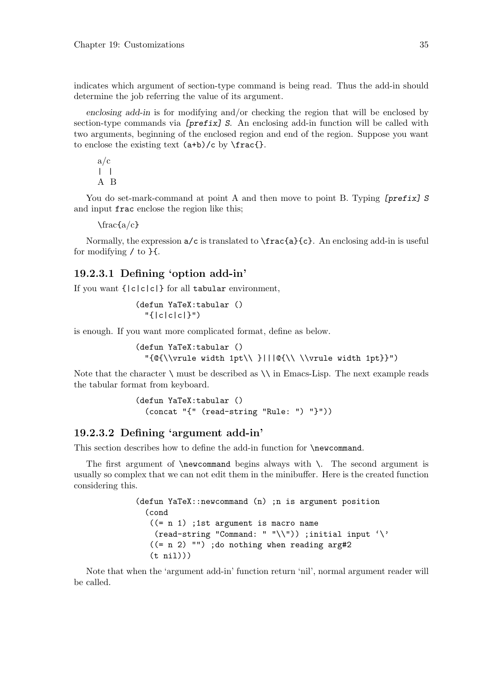indicates which argument of section-type command is being read. Thus the add-in should determine the job referring the value of its argument.

*enclosing add-in* is for modifying and/or checking the region that will be enclosed by section-type commands via *[prefix] S*. An enclosing add-in function will be called with two arguments, beginning of the enclosed region and end of the region. Suppose you want to enclose the existing text  $(a+b)/c$  by  $\frac{\frac{1}{c}}{c}$ .

a/c  $\| \cdot \|$ A B

You do set-mark-command at point A and then move to point B. Typing *[prefix] S* and input frac enclose the region like this;

 $\frac{a}{c}$ 

Normally, the expression  $a/c$  is translated to  $\frac{a}{c}$ . An enclosing add-in is useful for modifying / to }{.

## **19.2.3.1 Defining 'option add-in'**

If you want  $\{|c|c|c|\}$  for all tabular environment,

```
(defun YaTeX:tabular ()
  "{|c|c|c|}")
```
is enough. If you want more complicated format, define as below.

(defun YaTeX:tabular ()  $"\{@{\\\vrule width 1pt}\}\}|$ 

Note that the character  $\langle \rangle$  must be described as  $\langle \rangle$  in Emacs-Lisp. The next example reads the tabular format from keyboard.

```
(defun YaTeX:tabular ()
  (concat "{" (read-string "Rule: ") "}"))
```
## **19.2.3.2 Defining 'argument add-in'**

This section describes how to define the add-in function for \newcommand.

The first argument of  $\neq$  begins always with  $\$ . The second argument is usually so complex that we can not edit them in the minibuffer. Here is the created function considering this.

```
(defun YaTeX::newcommand (n) ;n is argument position
  (cond
   ((= n 1) ;1st argument is macro name
    (read-string "Command: " "\\")) ;initial input '\'
   ((- n 2) ""); do nothing when reading arg#2
   (t nil)))
```
Note that when the 'argument add-in' function return 'nil', normal argument reader will be called.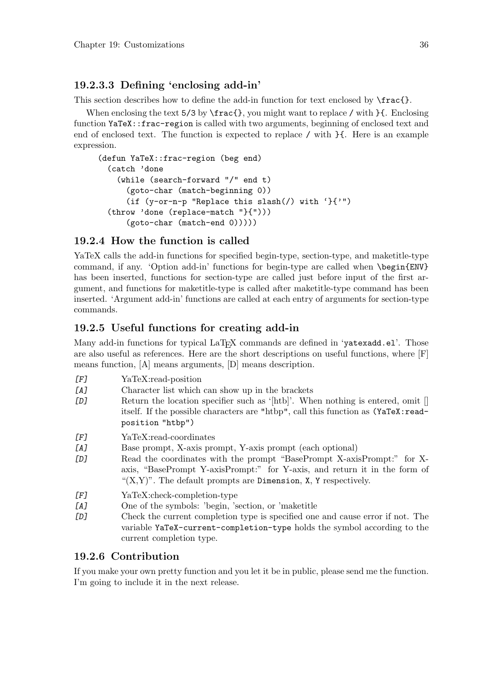# **19.2.3.3 Defining 'enclosing add-in'**

This section describes how to define the add-in function for text enclosed by  $\frac{c}{2}$ .

When enclosing the text  $5/3$  by  $\frac{}{$ rac $\}$ , you might want to replace / with  $\}$ . Enclosing function YaTeX::frac-region is called with two arguments, beginning of enclosed text and end of enclosed text. The function is expected to replace / with }{. Here is an example expression.

```
(defun YaTeX::frac-region (beg end)
  (catch 'done
    (while (search-forward "/" end t)
      (goto-char (match-beginning 0))
      (if (y-or-n-p "Replace this slash(/) with '}{'")
  (throw 'done (replace-match "}{")))
      (goto-char (match-end 0)))))
```
## **19.2.4 How the function is called**

YaTeX calls the add-in functions for specified begin-type, section-type, and maketitle-type command, if any. 'Option add-in' functions for begin-type are called when \begin{ENV} has been inserted, functions for section-type are called just before input of the first argument, and functions for maketitle-type is called after maketitle-type command has been inserted. 'Argument add-in' functions are called at each entry of arguments for section-type commands.

## **19.2.5 Useful functions for creating add-in**

Many add-in functions for typical LaT<sub>EX</sub> commands are defined in 'yatexadd.el'. Those are also useful as references. Here are the short descriptions on useful functions, where [F] means function, [A] means arguments, [D] means description.

- *[F]* YaTeX:read-position
- *[A]* Character list which can show up in the brackets
- **[D]** Return the location specifier such as '[htb]'. When nothing is entered, omit [] itself. If the possible characters are "htbp", call this function as (YaTeX:readposition "htbp")
- *[F]* YaTeX:read-coordinates
- *[A]* Base prompt, X-axis prompt, Y-axis prompt (each optional)
- *[D]* Read the coordinates with the prompt "BasePrompt X-axisPrompt:" for Xaxis, "BasePrompt Y-axisPrompt:" for Y-axis, and return it in the form of " $(X,Y)$ ". The default prompts are Dimension, X, Y respectively.
- *[F]* YaTeX:check-completion-type
- *[A]* One of the symbols: 'begin, 'section, or 'maketitle
- *[D]* Check the current completion type is specified one and cause error if not. The variable YaTeX-current-completion-type holds the symbol according to the current completion type.

## **19.2.6 Contribution**

If you make your own pretty function and you let it be in public, please send me the function. I'm going to include it in the next release.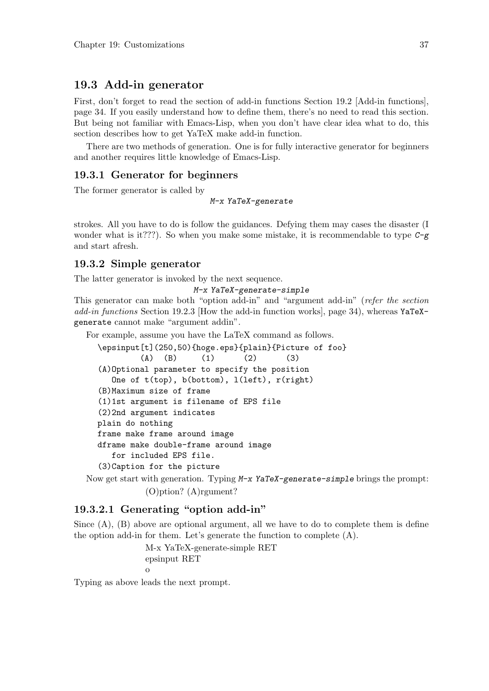# **19.3 Add-in generator**

First, don't forget to read the section of add-in functions Section 19.2 [Add-in functions], page 34. If you easily understand how to define them, there's no need to read this section. But being not familiar with Emacs-Lisp, when you don't have clear idea what to do, this section describes how to get YaTeX make add-in function.

There are two methods of generation. One is for fully interactive generator for beginners and another requires little knowledge of Emacs-Lisp.

### **19.3.1 Generator for beginners**

The former generator is called by

*M-x YaTeX-generate*

strokes. All you have to do is follow the guidances. Defying them may cases the disaster (I wonder what is it???). So when you make some mistake, it is recommendable to type *C-g* and start afresh.

## **19.3.2 Simple generator**

The latter generator is invoked by the next sequence.

```
M-x YaTeX-generate-simple
```
This generator can make both "option add-in" and "argument add-in" (*refer the section add-in functions* Section 19.2.3 [How the add-in function works], page 34), whereas YaTeXgenerate cannot make "argument addin".

For example, assume you have the LaTeX command as follows.

```
\epsinput[t](250,50){hoge.eps}{plain}{Picture of foo}
        (A) (B) (1) (2) (3)(A)Optional parameter to specify the position
  One of t(top), b(bottom), l(left), r(right)
(B)Maximum size of frame
(1)1st argument is filename of EPS file
(2)2nd argument indicates
plain do nothing
frame make frame around image
dframe make double-frame around image
  for included EPS file.
(3)Caption for the picture
```
Now get start with generation. Typing *M-x YaTeX-generate-simple* brings the prompt: (O)ption? (A)rgument?

## **19.3.2.1 Generating "option add-in"**

Since (A), (B) above are optional argument, all we have to do to complete them is define the option add-in for them. Let's generate the function to complete (A).

> M-x YaTeX-generate-simple RET epsinput RET o

Typing as above leads the next prompt.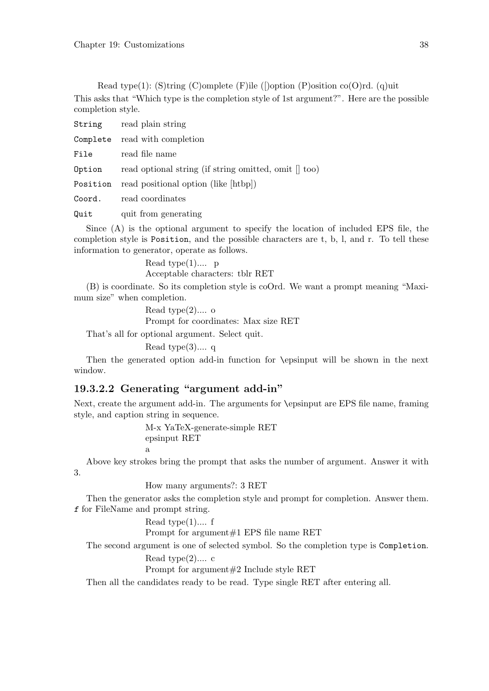Read type(1): (S)tring (C)omplete (F)ile ([)option (P)osition  $co(O)rd$ . (q)uit This asks that "Which type is the completion style of 1st argument?". Here are the possible completion style.

String read plain string Complete read with completion File read file name **Option** read optional string (if string omitted, omit  $\parallel$  too) Position read positional option (like [htbp]) Coord. read coordinates

Quit quit from generating

Since (A) is the optional argument to specify the location of included EPS file, the completion style is Position, and the possible characters are t, b, l, and r. To tell these information to generator, operate as follows.

> Read type(1).... p Acceptable characters: tblr RET

(B) is coordinate. So its completion style is coOrd. We want a prompt meaning "Maximum size" when completion.

> Read type $(2)$ .... o Prompt for coordinates: Max size RET

That's all for optional argument. Select quit.

Read type $(3)$ .... q

Then the generated option add-in function for \epsinput will be shown in the next window.

## **19.3.2.2 Generating "argument add-in"**

Next, create the argument add-in. The arguments for \epsinput are EPS file name, framing style, and caption string in sequence.

> M-x YaTeX-generate-simple RET epsinput RET a

Above key strokes bring the prompt that asks the number of argument. Answer it with 3.

How many arguments?: 3 RET

Then the generator asks the completion style and prompt for completion. Answer them. *f* for FileName and prompt string.

Read type(1).... f

Prompt for argument#1 EPS file name RET

The second argument is one of selected symbol. So the completion type is Completion.

Read type(2).... c

Prompt for argument#2 Include style RET

Then all the candidates ready to be read. Type single RET after entering all.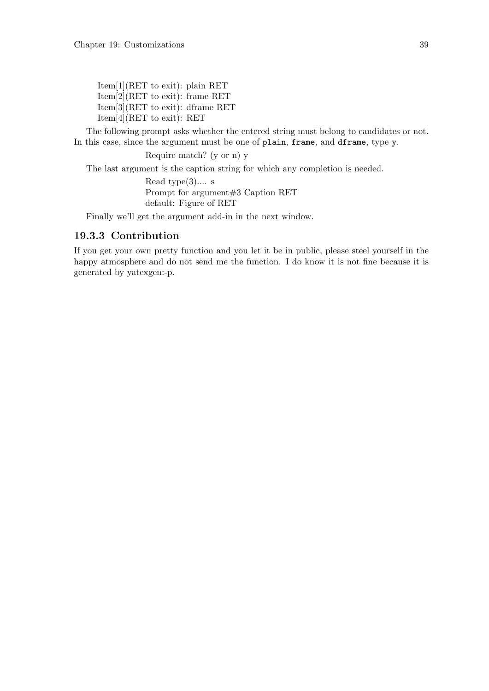Item[1](RET to exit): plain RET Item[2](RET to exit): frame RET Item[3](RET to exit): dframe RET Item[4](RET to exit): RET

The following prompt asks whether the entered string must belong to candidates or not. In this case, since the argument must be one of plain, frame, and dframe, type y.

Require match? (y or n) y

The last argument is the caption string for which any completion is needed.

Read type $(3)$ .... s Prompt for argument#3 Caption RET default: Figure of RET

Finally we'll get the argument add-in in the next window.

## **19.3.3 Contribution**

If you get your own pretty function and you let it be in public, please steel yourself in the happy atmosphere and do not send me the function. I do know it is not fine because it is generated by yatexgen:-p.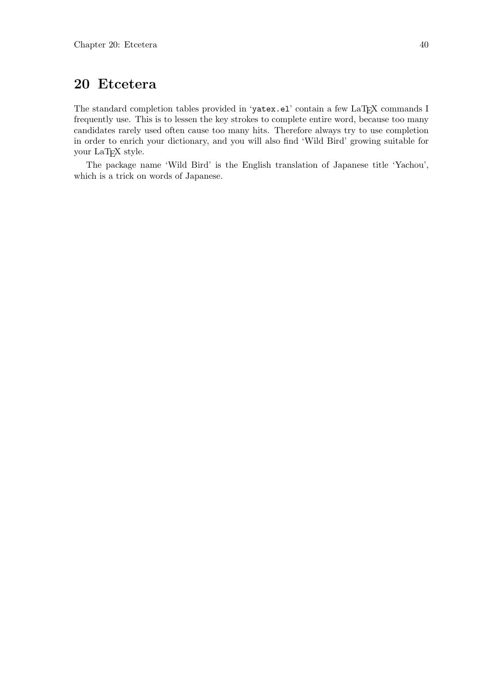# **20 Etcetera**

The standard completion tables provided in 'yatex.el' contain a few LaTEX commands I frequently use. This is to lessen the key strokes to complete entire word, because too many candidates rarely used often cause too many hits. Therefore always try to use completion in order to enrich your dictionary, and you will also find 'Wild Bird' growing suitable for your LaTEX style.

The package name 'Wild Bird' is the English translation of Japanese title 'Yachou', which is a trick on words of Japanese.